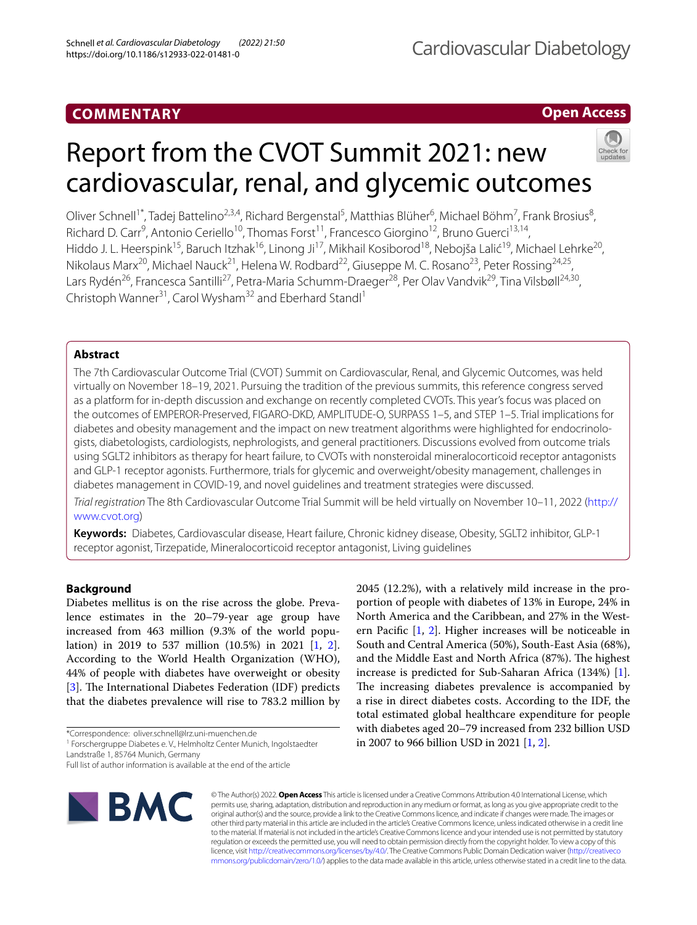# **COMMENTARY**

## **Open Access**

# Report from the CVOT Summit 2021: new

Oliver Schnell<sup>1\*</sup>, Tadej Battelino<sup>2,3,4</sup>, Richard Bergenstal<sup>5</sup>, Matthias Blüher<sup>6</sup>, Michael Böhm<sup>7</sup>, Frank Brosius<sup>8</sup>, Richard D. Carr<sup>9</sup>, Antonio Ceriello<sup>10</sup>, Thomas Forst<sup>11</sup>, Francesco Giorgino<sup>12</sup>, Bruno Guerci<sup>13,14</sup>, Hiddo J. L. Heerspink<sup>15</sup>, Baruch Itzhak<sup>16</sup>, Linong Ji<sup>17</sup>, Mikhail Kosiborod<sup>18</sup>, Nebojša Lalić<sup>19</sup>, Michael Lehrke<sup>20</sup>, Nikolaus Marx<sup>20</sup>, Michael Nauck<sup>21</sup>, Helena W. Rodbard<sup>22</sup>, Giuseppe M. C. Rosano<sup>23</sup>, Peter Rossing<sup>24,25</sup>, Lars Rydén<sup>26</sup>, Francesca Santilli<sup>27</sup>, Petra-Maria Schumm-Draeger<sup>28</sup>, Per Olav Vandvik<sup>29</sup>, Tina Vilsbøll<sup>24,30</sup>, Christoph Wanner<sup>31</sup>, Carol Wysham<sup>32</sup> and Eberhard Standl<sup>1</sup>

cardiovascular, renal, and glycemic outcomes

## **Abstract**

The 7th Cardiovascular Outcome Trial (CVOT) Summit on Cardiovascular, Renal, and Glycemic Outcomes, was held virtually on November 18–19, 2021. Pursuing the tradition of the previous summits, this reference congress served as a platform for in-depth discussion and exchange on recently completed CVOTs. This year's focus was placed on the outcomes of EMPEROR-Preserved, FIGARO-DKD, AMPLITUDE-O, SURPASS 1–5, and STEP 1–5. Trial implications for diabetes and obesity management and the impact on new treatment algorithms were highlighted for endocrinologists, diabetologists, cardiologists, nephrologists, and general practitioners. Discussions evolved from outcome trials using SGLT2 inhibitors as therapy for heart failure, to CVOTs with nonsteroidal mineralocorticoid receptor antagonists and GLP-1 receptor agonists. Furthermore, trials for glycemic and overweight/obesity management, challenges in diabetes management in COVID-19, and novel guidelines and treatment strategies were discussed.

*Trial registration* The 8th Cardiovascular Outcome Trial Summit will be held virtually on November 10–11, 2022 [\(http://](http://www.cvot.org) [www.cvot.org](http://www.cvot.org))

**Keywords:** Diabetes, Cardiovascular disease, Heart failure, Chronic kidney disease, Obesity, SGLT2 inhibitor, GLP-1 receptor agonist, Tirzepatide, Mineralocorticoid receptor antagonist, Living guidelines

## **Background**

Diabetes mellitus is on the rise across the globe. Prevalence estimates in the 20–79-year age group have increased from 463 million (9.3% of the world population) in 2019 to 537 million (10.5%) in 2021 [\[1](#page-12-0), [2](#page-12-1)]. According to the World Health Organization (WHO), 44% of people with diabetes have overweight or obesity [[3\]](#page-12-2). The International Diabetes Federation (IDF) predicts that the diabetes prevalence will rise to 783.2 million by

\*Correspondence: oliver.schnell@lrz.uni-muenchen.de

<sup>1</sup> Forschergruppe Diabetes e.V., Helmholtz Center Munich, Ingolstaedter Landstraße 1, 85764 Munich, Germany

Full list of author information is available at the end of the article



© The Author(s) 2022. **Open Access** This article is licensed under a Creative Commons Attribution 4.0 International License, which permits use, sharing, adaptation, distribution and reproduction in any medium or format, as long as you give appropriate credit to the original author(s) and the source, provide a link to the Creative Commons licence, and indicate if changes were made. The images or other third party material in this article are included in the article's Creative Commons licence, unless indicated otherwise in a credit line to the material. If material is not included in the article's Creative Commons licence and your intended use is not permitted by statutory regulation or exceeds the permitted use, you will need to obtain permission directly from the copyright holder. To view a copy of this licence, visit [http://creativecommons.org/licenses/by/4.0/.](http://creativecommons.org/licenses/by/4.0/) The Creative Commons Public Domain Dedication waiver ([http://creativeco](http://creativecommons.org/publicdomain/zero/1.0/) [mmons.org/publicdomain/zero/1.0/](http://creativecommons.org/publicdomain/zero/1.0/)) applies to the data made available in this article, unless otherwise stated in a credit line to the data.

2045 (12.2%), with a relatively mild increase in the proportion of people with diabetes of 13% in Europe, 24% in North America and the Caribbean, and 27% in the Western Pacifc [[1,](#page-12-0) [2](#page-12-1)]. Higher increases will be noticeable in South and Central America (50%), South-East Asia (68%), and the Middle East and North Africa (87%). The highest increase is predicted for Sub-Saharan Africa (134%) [\[1](#page-12-0)]. The increasing diabetes prevalence is accompanied by a rise in direct diabetes costs. According to the IDF, the total estimated global healthcare expenditure for people with diabetes aged 20–79 increased from 232 billion USD in 2007 to 966 billion USD in 2021 [\[1](#page-12-0), [2\]](#page-12-1).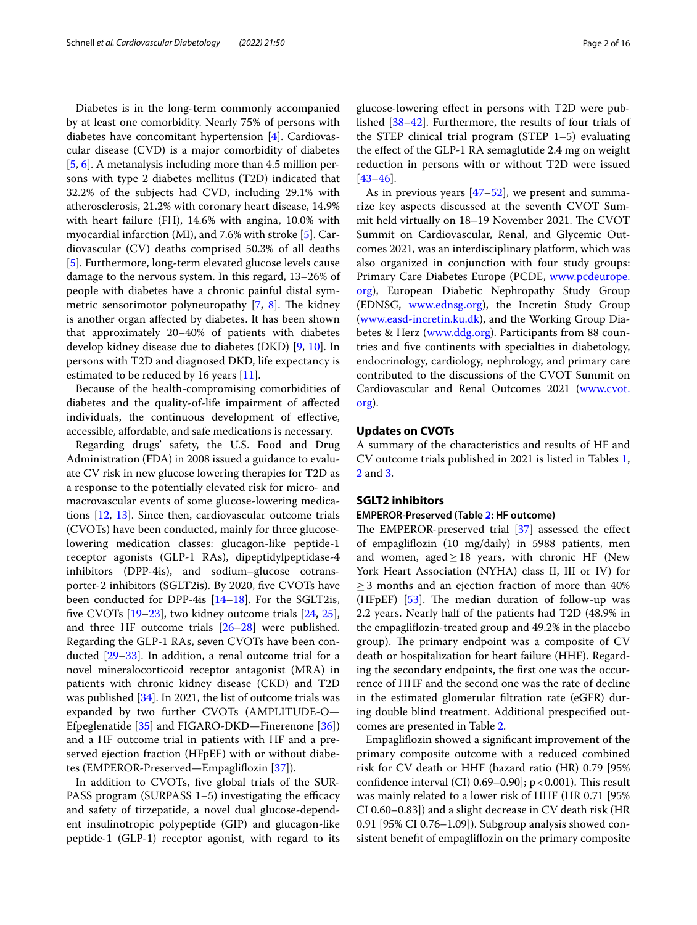Diabetes is in the long-term commonly accompanied by at least one comorbidity. Nearly 75% of persons with diabetes have concomitant hypertension [[4\]](#page-12-3). Cardiovascular disease (CVD) is a major comorbidity of diabetes [[5,](#page-12-4) [6](#page-12-5)]. A metanalysis including more than 4.5 million persons with type 2 diabetes mellitus (T2D) indicated that 32.2% of the subjects had CVD, including 29.1% with atherosclerosis, 21.2% with coronary heart disease, 14.9% with heart failure (FH), 14.6% with angina, 10.0% with myocardial infarction (MI), and 7.6% with stroke [[5\]](#page-12-4). Cardiovascular (CV) deaths comprised 50.3% of all deaths [[5\]](#page-12-4). Furthermore, long-term elevated glucose levels cause damage to the nervous system. In this regard, 13–26% of people with diabetes have a chronic painful distal symmetric sensorimotor polyneuropathy  $[7, 8]$  $[7, 8]$  $[7, 8]$  $[7, 8]$ . The kidney is another organ afected by diabetes. It has been shown that approximately 20–40% of patients with diabetes develop kidney disease due to diabetes (DKD) [[9](#page-12-8), [10](#page-12-9)]. In persons with T2D and diagnosed DKD, life expectancy is estimated to be reduced by 16 years [[11](#page-12-10)].

Because of the health-compromising comorbidities of diabetes and the quality-of-life impairment of afected individuals, the continuous development of efective, accessible, afordable, and safe medications is necessary.

Regarding drugs' safety, the U.S. Food and Drug Administration (FDA) in 2008 issued a guidance to evaluate CV risk in new glucose lowering therapies for T2D as a response to the potentially elevated risk for micro- and macrovascular events of some glucose-lowering medications [[12,](#page-12-11) [13](#page-12-12)]. Since then, cardiovascular outcome trials (CVOTs) have been conducted, mainly for three glucoselowering medication classes: glucagon-like peptide-1 receptor agonists (GLP-1 RAs), dipeptidylpeptidase-4 inhibitors (DPP-4is), and sodium–glucose cotransporter-2 inhibitors (SGLT2is). By 2020, fve CVOTs have been conducted for DPP-4is [\[14](#page-12-13)[–18](#page-13-0)]. For the SGLT2is, five CVOTs  $[19-23]$  $[19-23]$ , two kidney outcome trials  $[24, 25]$  $[24, 25]$  $[24, 25]$  $[24, 25]$ , and three HF outcome trials  $[26-28]$  $[26-28]$  $[26-28]$  were published. Regarding the GLP-1 RAs, seven CVOTs have been conducted [[29](#page-13-7)[–33](#page-13-8)]. In addition, a renal outcome trial for a novel mineralocorticoid receptor antagonist (MRA) in patients with chronic kidney disease (CKD) and T2D was published [\[34\]](#page-13-9). In 2021, the list of outcome trials was expanded by two further CVOTs (AMPLITUDE-O— Efpeglenatide [\[35](#page-13-10)] and FIGARO-DKD—Finerenone [\[36](#page-13-11)]) and a HF outcome trial in patients with HF and a preserved ejection fraction (HFpEF) with or without diabetes (EMPEROR-Preserved—Empaglifozin [[37](#page-13-12)]).

In addition to CVOTs, fve global trials of the SUR-PASS program (SURPASS  $1-5$ ) investigating the efficacy and safety of tirzepatide, a novel dual glucose-dependent insulinotropic polypeptide (GIP) and glucagon-like peptide-1 (GLP-1) receptor agonist, with regard to its

glucose-lowering efect in persons with T2D were published [[38](#page-13-13)[–42](#page-13-14)]. Furthermore, the results of four trials of the STEP clinical trial program (STEP 1–5) evaluating the efect of the GLP-1 RA semaglutide 2.4 mg on weight reduction in persons with or without T2D were issued [[43–](#page-13-15)[46\]](#page-13-16).

As in previous years [\[47–](#page-13-17)[52\]](#page-13-18), we present and summarize key aspects discussed at the seventh CVOT Summit held virtually on 18–19 November 2021. The CVOT Summit on Cardiovascular, Renal, and Glycemic Outcomes 2021, was an interdisciplinary platform, which was also organized in conjunction with four study groups: Primary Care Diabetes Europe (PCDE, [www.pcdeurope.](http://www.pcdeurope.org) [org](http://www.pcdeurope.org)), European Diabetic Nephropathy Study Group (EDNSG, [www.ednsg.org](http://www.ednsg.org)), the Incretin Study Group ([www.easd-incretin.ku.dk\)](http://www.easd-incretin.ku.dk), and the Working Group Diabetes & Herz ([www.ddg.org](http://www.ddg.org)). Participants from 88 countries and fve continents with specialties in diabetology, endocrinology, cardiology, nephrology, and primary care contributed to the discussions of the CVOT Summit on Cardiovascular and Renal Outcomes 2021 ([www.cvot.](http://www.cvot.org) [org](http://www.cvot.org)).

## **Updates on CVOTs**

A summary of the characteristics and results of HF and CV outcome trials published in 2021 is listed in Tables [1](#page-2-0), [2](#page-2-1) and [3](#page-3-0).

## **SGLT2 inhibitors**

## **EMPEROR‑Preserved (Table [2:](#page-2-1) HF outcome)**

The EMPEROR-preserved trial  $[37]$  $[37]$  assessed the effect of empaglifozin (10 mg/daily) in 5988 patients, men and women, aged $\geq$ 18 years, with chronic HF (New York Heart Association (NYHA) class II, III or IV) for  $\geq$  3 months and an ejection fraction of more than 40% (HFpEF)  $[53]$  $[53]$ . The median duration of follow-up was 2.2 years. Nearly half of the patients had T2D (48.9% in the empaglifozin-treated group and 49.2% in the placebo group). The primary endpoint was a composite of CV death or hospitalization for heart failure (HHF). Regarding the secondary endpoints, the frst one was the occurrence of HHF and the second one was the rate of decline in the estimated glomerular fltration rate (eGFR) during double blind treatment. Additional prespecifed outcomes are presented in Table [2](#page-2-1).

Empaglifozin showed a signifcant improvement of the primary composite outcome with a reduced combined risk for CV death or HHF (hazard ratio (HR) 0.79 [95% confidence interval (CI)  $0.69-0.90$ ]; p < 0.001). This result was mainly related to a lower risk of HHF (HR 0.71 [95% CI 0.60–0.83]) and a slight decrease in CV death risk (HR 0.91 [95% CI 0.76–1.09]). Subgroup analysis showed consistent beneft of empaglifozin on the primary composite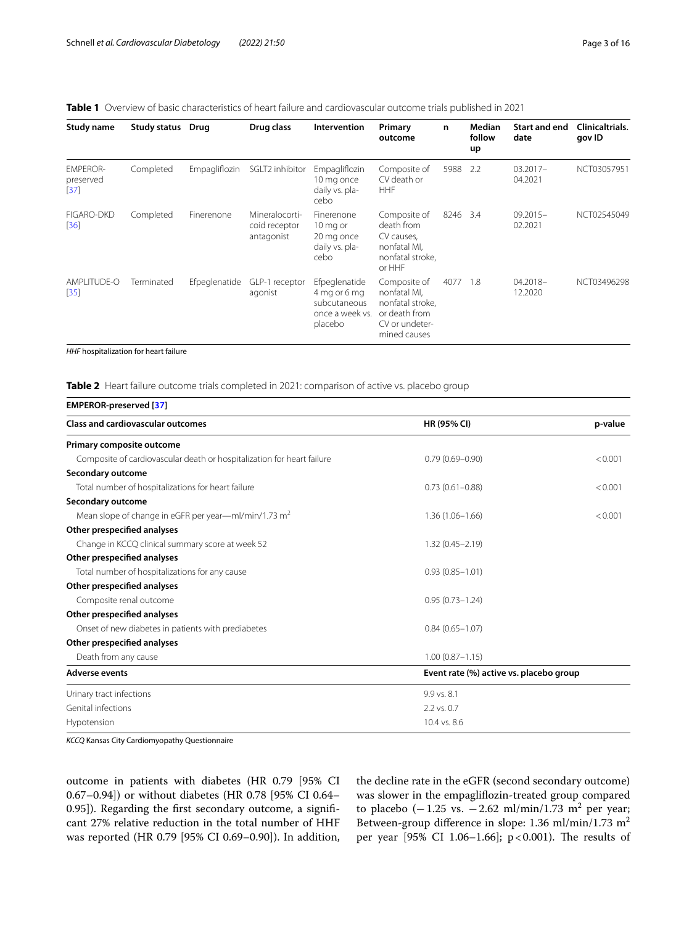## <span id="page-2-0"></span>**Table 1** Overview of basic characteristics of heart failure and cardiovascular outcome trials published in 2021

| Study name                             | Study status Drug |               | Drug class                                    | Intervention                                                                | Primary<br>outcome                                                                                  | n    | Median<br>follow<br>up | Start and end<br>date  | <b>Clinicaltrials.</b><br>gov ID |
|----------------------------------------|-------------------|---------------|-----------------------------------------------|-----------------------------------------------------------------------------|-----------------------------------------------------------------------------------------------------|------|------------------------|------------------------|----------------------------------|
| <b>EMPEROR-</b><br>preserved<br>$[37]$ | Completed         | Empagliflozin | SGLT2 inhibitor                               | Empagliflozin<br>10 mg once<br>daily vs. pla-<br>cebo                       | Composite of<br>CV death or<br><b>HHF</b>                                                           | 5988 | 2.2                    | $03.2017 -$<br>04.2021 | NCT03057951                      |
| <b>FIGARO-DKD</b><br>$[36]$            | Completed         | Finerenone    | Mineralocorti-<br>coid receptor<br>antagonist | Finerenone<br>10 mg or<br>20 mg once<br>daily vs. pla-<br>cebo              | Composite of<br>death from<br>CV causes,<br>nonfatal MI,<br>nonfatal stroke,<br>or HHF              | 8246 | 3.4                    | $09.2015 -$<br>02.2021 | NCT02545049                      |
| AMPLITUDE-O<br>$[35]$                  | Terminated        | Efpeglenatide | GLP-1 receptor<br>agonist                     | Efpeglenatide<br>4 mg or 6 mg<br>subcutaneous<br>once a week vs.<br>placebo | Composite of<br>nonfatal MI.<br>nonfatal stroke,<br>or death from<br>CV or undeter-<br>mined causes | 4077 | - 1.8                  | 04.2018-<br>12.2020    | NCT03496298                      |

*HHF* hospitalization for heart failure

<span id="page-2-1"></span>**Table 2** Heart failure outcome trials completed in 2021: comparison of active vs. placebo group

| <b>EMPEROR-preserved [37]</b>                                          |                                         |         |
|------------------------------------------------------------------------|-----------------------------------------|---------|
| <b>Class and cardiovascular outcomes</b>                               | HR (95% CI)                             | p-value |
| Primary composite outcome                                              |                                         |         |
| Composite of cardiovascular death or hospitalization for heart failure | $0.79(0.69 - 0.90)$                     | < 0.001 |
| Secondary outcome                                                      |                                         |         |
| Total number of hospitalizations for heart failure                     | $0.73(0.61 - 0.88)$                     | < 0.001 |
| Secondary outcome                                                      |                                         |         |
| Mean slope of change in eGFR per year—ml/min/1.73 $m2$                 | $1.36(1.06 - 1.66)$                     | < 0.001 |
| Other prespecified analyses                                            |                                         |         |
| Change in KCCQ clinical summary score at week 52                       | $1.32(0.45 - 2.19)$                     |         |
| Other prespecified analyses                                            |                                         |         |
| Total number of hospitalizations for any cause                         | $0.93(0.85 - 1.01)$                     |         |
| Other prespecified analyses                                            |                                         |         |
| Composite renal outcome                                                | $0.95(0.73 - 1.24)$                     |         |
| Other prespecified analyses                                            |                                         |         |
| Onset of new diabetes in patients with prediabetes                     | $0.84(0.65 - 1.07)$                     |         |
| Other prespecified analyses                                            |                                         |         |
| Death from any cause                                                   | $1.00(0.87 - 1.15)$                     |         |
| <b>Adverse events</b>                                                  | Event rate (%) active vs. placebo group |         |
| Urinary tract infections                                               | 9.9 vs. 8.1                             |         |
| Genital infections                                                     | 2.2 vs. 0.7                             |         |
| Hypotension                                                            | 10.4 vs. 8.6                            |         |

*KCCQ* Kansas City Cardiomyopathy Questionnaire

outcome in patients with diabetes (HR 0.79 [95% CI 0.67–0.94]) or without diabetes (HR 0.78 [95% CI 0.64– 0.95]). Regarding the frst secondary outcome, a signifcant 27% relative reduction in the total number of HHF was reported (HR 0.79 [95% CI 0.69–0.90]). In addition, the decline rate in the eGFR (second secondary outcome) was slower in the empaglifozin-treated group compared to placebo  $(-1.25 \text{ vs. } -2.62 \text{ ml/min}/1.73 \text{ m}^2 \text{ per year};$ Between-group difference in slope: 1.36 ml/min/1.73 m<sup>2</sup> per year [95% CI 1.06-1.66];  $p < 0.001$ ). The results of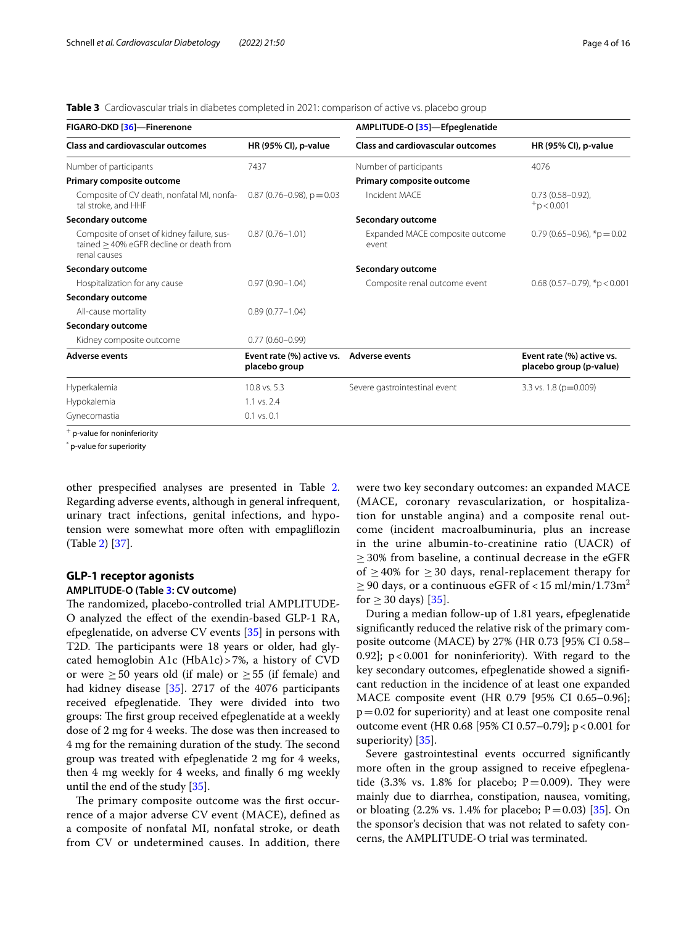<span id="page-3-0"></span>**Table 3** Cardiovascular trials in diabetes completed in 2021: comparison of active vs. placebo group

| FIGARO-DKD [36]-Finerenone                                                                                 |                                            | AMPLITUDE-O [35]-Efpeglenatide           |                                                      |  |  |  |
|------------------------------------------------------------------------------------------------------------|--------------------------------------------|------------------------------------------|------------------------------------------------------|--|--|--|
| <b>Class and cardiovascular outcomes</b>                                                                   | HR (95% CI), p-value                       | <b>Class and cardiovascular outcomes</b> | HR (95% CI), p-value                                 |  |  |  |
| Number of participants                                                                                     | 7437                                       | Number of participants                   | 4076                                                 |  |  |  |
| Primary composite outcome                                                                                  |                                            | Primary composite outcome                |                                                      |  |  |  |
| Composite of CV death, nonfatal MI, nonfa-<br>tal stroke, and HHF                                          | $0.87(0.76 - 0.98)$ , p = 0.03             | Incident MACF                            | $0.73(0.58 - 0.92)$ ,<br>$+p < 0.001$                |  |  |  |
| Secondary outcome                                                                                          |                                            | Secondary outcome                        |                                                      |  |  |  |
| Composite of onset of kidney failure, sus-<br>tained $\geq$ 40% eGFR decline or death from<br>renal causes | $0.87(0.76 - 1.01)$                        | Expanded MACE composite outcome<br>event | $0.79(0.65-0.96)$ , *p = 0.02                        |  |  |  |
| Secondary outcome                                                                                          |                                            | Secondary outcome                        |                                                      |  |  |  |
| Hospitalization for any cause                                                                              | $0.97(0.90 - 1.04)$                        | Composite renal outcome event            | $0.68$ (0.57-0.79), *p < 0.001                       |  |  |  |
| Secondary outcome                                                                                          |                                            |                                          |                                                      |  |  |  |
| All-cause mortality                                                                                        | $0.89(0.77 - 1.04)$                        |                                          |                                                      |  |  |  |
| Secondary outcome                                                                                          |                                            |                                          |                                                      |  |  |  |
| Kidney composite outcome                                                                                   | $0.77(0.60 - 0.99)$                        |                                          |                                                      |  |  |  |
| <b>Adverse events</b>                                                                                      | Event rate (%) active vs.<br>placebo group | <b>Adverse events</b>                    | Event rate (%) active vs.<br>placebo group (p-value) |  |  |  |
| Hyperkalemia                                                                                               | 10.8 vs. 5.3                               | Severe gastrointestinal event            | 3.3 vs. 1.8 ( $p=0.009$ )                            |  |  |  |
| Hypokalemia                                                                                                | 1.1 vs. 2.4                                |                                          |                                                      |  |  |  |
| Gynecomastia                                                                                               | $0.1$ vs. $0.1$                            |                                          |                                                      |  |  |  |
|                                                                                                            |                                            |                                          |                                                      |  |  |  |

 $+$  p-value for noninferiority

\* p-value for superiority

other prespecifed analyses are presented in Table [2](#page-2-1). Regarding adverse events, although in general infrequent, urinary tract infections, genital infections, and hypotension were somewhat more often with empaglifozin (Table [2](#page-2-1)) [\[37](#page-13-12)].

# **GLP‑1 receptor agonists**

## **AMPLITUDE‑O (Table [3:](#page-3-0) CV outcome)**

The randomized, placebo-controlled trial AMPLITUDE-O analyzed the efect of the exendin-based GLP-1 RA, efpeglenatide, on adverse CV events [\[35](#page-13-10)] in persons with T2D. The participants were 18 years or older, had glycated hemoglobin A1c (HbA1c)>7%, a history of CVD or were  $\geq 50$  years old (if male) or  $\geq 55$  (if female) and had kidney disease [[35](#page-13-10)]. 2717 of the 4076 participants received efpeglenatide. They were divided into two groups: The first group received efpeglenatide at a weekly dose of 2 mg for 4 weeks. The dose was then increased to 4 mg for the remaining duration of the study. The second group was treated with efpeglenatide 2 mg for 4 weeks, then 4 mg weekly for 4 weeks, and fnally 6 mg weekly until the end of the study [\[35](#page-13-10)].

The primary composite outcome was the first occurrence of a major adverse CV event (MACE), defned as a composite of nonfatal MI, nonfatal stroke, or death from CV or undetermined causes. In addition, there were two key secondary outcomes: an expanded MACE (MACE, coronary revascularization, or hospitalization for unstable angina) and a composite renal outcome (incident macroalbuminuria, plus an increase in the urine albumin-to-creatinine ratio (UACR) of ≥ 30% from baseline, a continual decrease in the eGFR of  $\geq$  40% for  $\geq$  30 days, renal-replacement therapy for  $\geq$  90 days, or a continuous eGFR of < 15 ml/min/1.73m<sup>2</sup> for  $\geq$  30 days) [\[35\]](#page-13-10).

During a median follow-up of 1.81 years, efpeglenatide signifcantly reduced the relative risk of the primary composite outcome (MACE) by 27% (HR 0.73 [95% CI 0.58– 0.92];  $p < 0.001$  for noninferiority). With regard to the key secondary outcomes, efpeglenatide showed a signifcant reduction in the incidence of at least one expanded MACE composite event (HR 0.79 [95% CI 0.65–0.96];  $p=0.02$  for superiority) and at least one composite renal outcome event (HR 0.68 [95% CI 0.57-0.79]; p < 0.001 for superiority) [\[35](#page-13-10)].

Severe gastrointestinal events occurred signifcantly more often in the group assigned to receive efpeglenatide (3.3% vs. 1.8% for placebo;  $P=0.009$ ). They were mainly due to diarrhea, constipation, nausea, vomiting, or bloating  $(2.2\% \text{ vs. } 1.4\% \text{ for } \text{placebo}; \text{ P} = 0.03)$  [\[35](#page-13-10)]. On the sponsor's decision that was not related to safety concerns, the AMPLITUDE-O trial was terminated.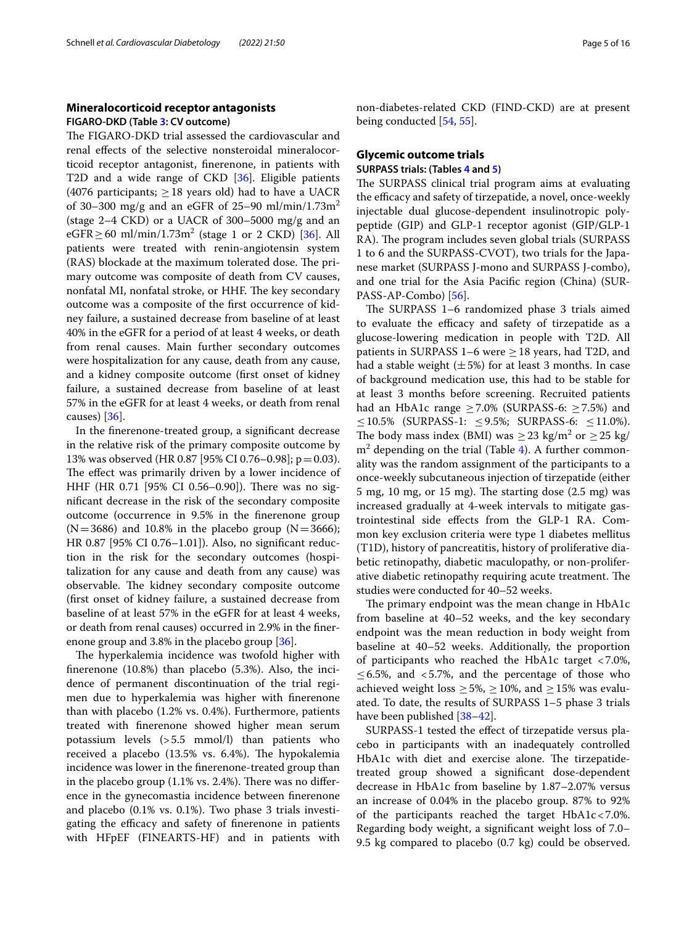## **Mineralocorticoid receptor antagonists FIGARO‑DKD (Table [3:](#page-3-0) CV outcome)**

The FIGARO-DKD trial assessed the cardiovascular and renal efects of the selective nonsteroidal mineralocorticoid receptor antagonist, fnerenone, in patients with T2D and a wide range of CKD [[36\]](#page-13-11). Eligible patients (4076 participants;  $> 18$  years old) had to have a UACR of 30–300 mg/g and an eGFR of 25–90 ml/min/1.73m<sup>2</sup> (stage  $2-4$  CKD) or a UACR of 300–5000 mg/g and an eGFR≥60 ml/min/1.73m<sup>2</sup> (stage 1 or 2 CKD) [\[36](#page-13-11)]. All patients were treated with renin-angiotensin system (RAS) blockade at the maximum tolerated dose. The primary outcome was composite of death from CV causes, nonfatal MI, nonfatal stroke, or HHF. The key secondary outcome was a composite of the frst occurrence of kidney failure, a sustained decrease from baseline of at least 40% in the eGFR for a period of at least 4 weeks, or death from renal causes. Main further secondary outcomes were hospitalization for any cause, death from any cause, and a kidney composite outcome (frst onset of kidney failure, a sustained decrease from baseline of at least 57% in the eGFR for at least 4 weeks, or death from renal causes) [[36\]](#page-13-11).

In the fnerenone-treated group, a signifcant decrease in the relative risk of the primary composite outcome by 13% was observed (HR 0.87 [95% CI 0.76–0.98]; p=0.03). The effect was primarily driven by a lower incidence of HHF (HR 0.71 [95% CI 0.56-0.90]). There was no signifcant decrease in the risk of the secondary composite outcome (occurrence in 9.5% in the fnerenone group  $(N=3686)$  and 10.8% in the placebo group  $(N=3666)$ ; HR 0.87 [95% CI 0.76–1.01]). Also, no signifcant reduction in the risk for the secondary outcomes (hospitalization for any cause and death from any cause) was observable. The kidney secondary composite outcome (frst onset of kidney failure, a sustained decrease from baseline of at least 57% in the eGFR for at least 4 weeks, or death from renal causes) occurred in 2.9% in the fnerenone group and 3.8% in the placebo group [\[36](#page-13-11)].

The hyperkalemia incidence was twofold higher with fnerenone (10.8%) than placebo (5.3%). Also, the incidence of permanent discontinuation of the trial regimen due to hyperkalemia was higher with fnerenone than with placebo (1.2% vs. 0.4%). Furthermore, patients treated with fnerenone showed higher mean serum potassium levels (>5.5 mmol/l) than patients who received a placebo  $(13.5\% \text{ vs. } 6.4\%)$ . The hypokalemia incidence was lower in the fnerenone-treated group than in the placebo group  $(1.1\% \text{ vs. } 2.4\%).$  There was no difference in the gynecomastia incidence between fnerenone and placebo (0.1% vs. 0.1%). Two phase 3 trials investigating the efficacy and safety of finerenone in patients with HFpEF (FINEARTS-HF) and in patients with non-diabetes-related CKD (FIND-CKD) are at present being conducted [\[54](#page-13-20), [55](#page-13-21)].

## **Glycemic outcome trials**

## **SURPASS trials: (Tables [4](#page-5-0) and [5\)](#page-6-0)**

The SURPASS clinical trial program aims at evaluating the efficacy and safety of tirzepatide, a novel, once-weekly injectable dual glucose-dependent insulinotropic polypeptide (GIP) and GLP-1 receptor agonist (GIP/GLP-1 RA). The program includes seven global trials (SURPASS 1 to 6 and the SURPASS-CVOT), two trials for the Japanese market (SURPASS J-mono and SURPASS J-combo), and one trial for the Asia Pacifc region (China) (SUR-PASS-AP-Combo) [\[56\]](#page-13-22).

The SURPASS 1–6 randomized phase 3 trials aimed to evaluate the efficacy and safety of tirzepatide as a glucose-lowering medication in people with T2D. All patients in SURPASS 1–6 were  $\geq$  18 years, had T2D, and had a stable weight  $(\pm 5\%)$  for at least 3 months. In case of background medication use, this had to be stable for at least 3 months before screening. Recruited patients had an HbA1c range  $\geq$  7.0% (SURPASS-6:  $\geq$  7.5%) and ≤10.5% (SURPASS-1: ≤9.5%; SURPASS-6: ≤11.0%). The body mass index (BMI) was  $\geq$  23 kg/m<sup>2</sup> or  $\geq$  25 kg/  $m<sup>2</sup>$  depending on the trial (Table [4](#page-5-0)). A further commonality was the random assignment of the participants to a once-weekly subcutaneous injection of tirzepatide (either 5 mg, 10 mg, or 15 mg). The starting dose  $(2.5 \text{ mg})$  was increased gradually at 4-week intervals to mitigate gastrointestinal side efects from the GLP-1 RA. Common key exclusion criteria were type 1 diabetes mellitus (T1D), history of pancreatitis, history of proliferative diabetic retinopathy, diabetic maculopathy, or non-proliferative diabetic retinopathy requiring acute treatment. The studies were conducted for 40–52 weeks.

The primary endpoint was the mean change in HbA1c from baseline at 40–52 weeks, and the key secondary endpoint was the mean reduction in body weight from baseline at 40–52 weeks. Additionally, the proportion of participants who reached the HbA1c target <7.0%,  $\leq 6.5\%$ , and  $\lt 5.7\%$ , and the percentage of those who achieved weight loss  $\geq$  5%,  $\geq$  10%, and  $\geq$  15% was evaluated. To date, the results of SURPASS 1–5 phase 3 trials have been published [\[38](#page-13-13)[–42\]](#page-13-14).

SURPASS-1 tested the efect of tirzepatide versus placebo in participants with an inadequately controlled HbA1c with diet and exercise alone. The tirzepatidetreated group showed a signifcant dose-dependent decrease in HbA1c from baseline by 1.87–2.07% versus an increase of 0.04% in the placebo group. 87% to 92% of the participants reached the target HbA1c<7.0%. Regarding body weight, a signifcant weight loss of 7.0– 9.5 kg compared to placebo (0.7 kg) could be observed.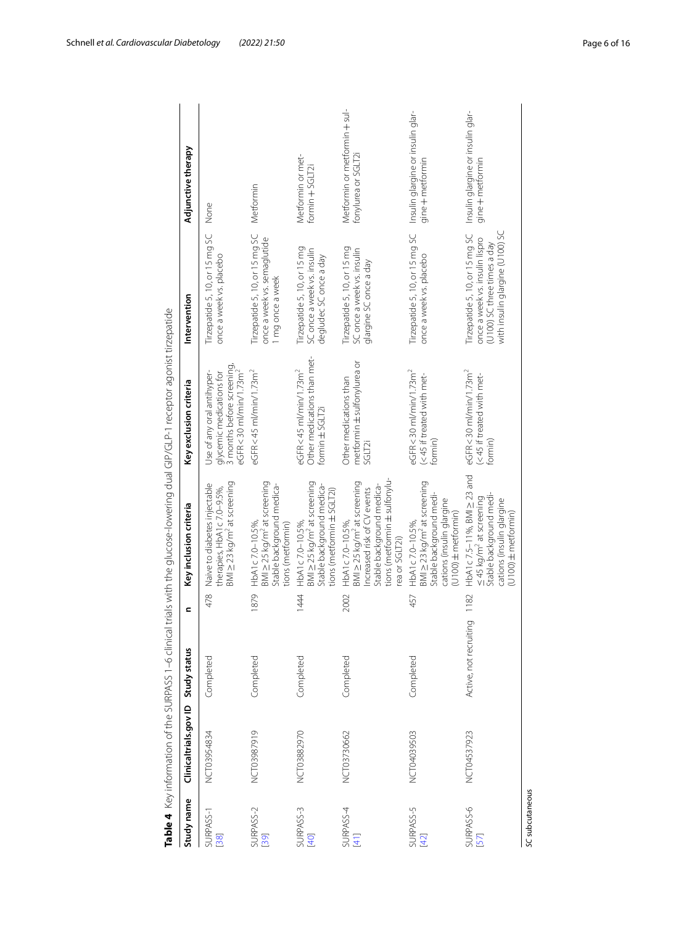|                              | Table 4 Key information of the SURPASS 1-6 clinical |                        |      |                                                                                                                                                                          | trials with the glucose-lowering dual GIP/GLP-1 receptor agonist tirzepatide                                              |                                                                                                                                    |                                                         |
|------------------------------|-----------------------------------------------------|------------------------|------|--------------------------------------------------------------------------------------------------------------------------------------------------------------------------|---------------------------------------------------------------------------------------------------------------------------|------------------------------------------------------------------------------------------------------------------------------------|---------------------------------------------------------|
| Study name                   | Clinicaltrials.gov ID                               | Study status           | c    | Key inclusion criteria                                                                                                                                                   | Key exclusion criteria                                                                                                    | Intervention                                                                                                                       | Adjunctive therapy                                      |
| SURPASS-1<br>$\overline{38}$ | NCT03954834                                         | Completed              | 478  | BMI $\geq$ 23 kg/m <sup>2</sup> at screening<br>Naive to diabetes injectable<br>therapies, HbA1c 7.0-9.5%,                                                               | 3 months before screening,<br>eGFR<30 ml/min/1.73m <sup>2</sup><br>Use of any oral antihyper-<br>glycemic medications for | Tirzepatide 5, 10, or 15 mg SC<br>once a week vs. placebo                                                                          | None                                                    |
| SURPASS-2<br>[39]            | NCT03987919                                         | Completed              | 1879 | $BMI \geq 25$ kg/m <sup>2</sup> at screening<br>Stable background medica-<br>HbA1c7.0-10.5%<br>tions (metformin)                                                         | eGFR<45 ml/min/1.73m <sup>2</sup>                                                                                         | Tirzepatide 5, 10, or 15 mg SC<br>once a week vs. semaglutide<br>1 mg once a week                                                  | Metformin                                               |
| SURPASS-3<br>[40]            | NCT03882970                                         | Completed              | 1444 | BMI $\geq$ 25 kg/m <sup>2</sup> at screening<br>Stable background medica-<br>tions (metformin ± SGLT2i)<br>HbA1c 7.0-10.5%,                                              | Other medications than met-<br>eGFR<45 ml/min/1.73m <sup>2</sup><br>formin ± SGLT2i                                       | Tirzepatide 5, 10, or 15 mg<br>SC once a week vs. insulin<br>degludec SC once a day                                                | Metformin or met-<br>formin $+$ SGLT2i                  |
| SURPASS-4<br>[41]            | NCT03730662                                         | Completed              | 2002 | tions (metformin±sulfonylu-<br>BMI ≥ 25 kg/m <sup>2</sup> at screening<br>Stable background medica-<br>Increased risk of CV events<br>HbA1c 7.0-10.5%,<br>rea or SGLT2i) | ŏ<br>metformin ± sulfonylurea<br>Other medications than<br><b>SGLT2i</b>                                                  | Tirzepatide 5, 10, or 15 mg<br>SC once a week vs. insulin<br>glargine SC once a day                                                | Metformin or metformin + sul-<br>fonylurea or SGLT2i    |
| SURPASS-5<br>$[42]$          | NCT04039503                                         | Completed              | 457  | BMI $\geq$ 23 kg/m <sup>2</sup> at screening<br>Stable background medi-<br>cations (insulin glargine<br>$($ U100 $)$ $\pm$ metformin $)$<br>HbA1c7.0-10.5%               | eGFR<30 ml/min/1.73m <sup>2</sup><br>(<45 if treated with met-<br>Formin)                                                 | Tirzepatide 5, 10, or 15 mg SC<br>once a week vs. placebo                                                                          | Insulin glargine or insulin glar-<br>$gine + metformin$ |
| SURPASS-6<br>57              | NCT04537923                                         | Active, not recruiting | 1182 | HbA1c 7.5-11%, BMI $\geq$ 23 and<br>Stable background medi-<br>≤45 kg/m <sup>2</sup> at screening<br>cations (insulin glargine<br>$($ U 100) $\pm$ metformin $)$         | eGFR<30 ml/min/1.73m <sup>2</sup><br>(<45 if treated with met-<br>ormin-                                                  | with insulin glargine (U100) SC<br>Tirzepatide 5, 10, or 15 mg SC<br>once a week vs. insulin lispro<br>(U100) SC three times a day | Insulin glargine or insulin glar-<br>$gine + metformin$ |

<span id="page-5-0"></span>SC subcutaneous *SC* subcutaneous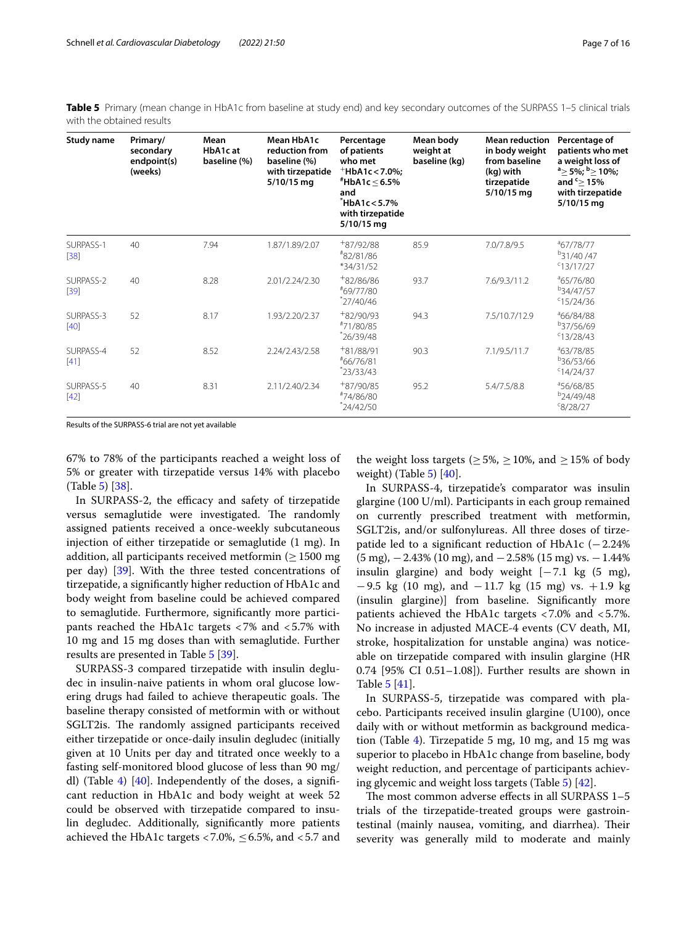<span id="page-6-0"></span>**Table 5** Primary (mean change in HbA1c from baseline at study end) and key secondary outcomes of the SURPASS 1–5 clinical trials with the obtained results

| <b>Study name</b>   | Primary/<br>secondary<br>endpoint(s)<br>(weeks) | Mean<br>HbA1c at<br>baseline (%) | Mean HbA1c<br>reduction from<br>baseline (%)<br>with tirzepatide<br>5/10/15 mg | Percentage<br>of patients<br>who met<br>$^+$ HbA1c < 7.0%;<br>$H$ bA1c $\leq$ 6.5%<br>and<br>HbA1c < 5.7%<br>with tirzepatide<br>5/10/15 mg | Mean body<br>weight at<br>baseline (kg) | <b>Mean reduction</b><br>in body weight<br>from baseline<br>(kg) with<br>tirzepatide<br>5/10/15 mg | Percentage of<br>patients who met<br>a weight loss of<br>$a \geq 5\%$ ; $b \geq 10\%$ ;<br>and $\leq$ 15%<br>with tirzepatide<br>5/10/15 mg |
|---------------------|-------------------------------------------------|----------------------------------|--------------------------------------------------------------------------------|---------------------------------------------------------------------------------------------------------------------------------------------|-----------------------------------------|----------------------------------------------------------------------------------------------------|---------------------------------------------------------------------------------------------------------------------------------------------|
| SURPASS-1<br>$[38]$ | 40                                              | 7.94                             | 1.87/1.89/2.07                                                                 | $+87/92/88$<br>#82/81/86<br>*34/31/52                                                                                                       | 85.9                                    | 7.0/7.8/9.5                                                                                        | $^{\circ}67/78/77$<br>$b$ 31/40/47<br>$c$ 13/17/27                                                                                          |
| SURPASS-2<br>$[39]$ | 40                                              | 8.28                             | 2.01/2.24/2.30                                                                 | $+82/86/86$<br>#69/77/80<br>$*27/40/46$                                                                                                     | 93.7                                    | 7.6/9.3/11.2                                                                                       | <sup>a</sup> 65/76/80<br>b <sub>34</sub> /47/57<br>$C$ 15/24/36                                                                             |
| SURPASS-3<br>$[40]$ | 52                                              | 8.17                             | 1.93/2.20/2.37                                                                 | $+82/90/93$<br>#71/80/85<br>$*26/39/48$                                                                                                     | 94.3                                    | 7.5/10.7/12.9                                                                                      | <sup>a</sup> 66/84/88<br><sup>b</sup> 37/56/69<br>C13/28/43                                                                                 |
| SURPASS-4<br>$[41]$ | 52                                              | 8.52                             | 2.24/2.43/2.58                                                                 | $+81/88/91$<br>#66/76/81<br>$*23/33/43$                                                                                                     | 90.3                                    | 7.1/9.5/11.7                                                                                       | <sup>a</sup> 63/78/85<br><sup>b</sup> 36/53/66<br>C14/24/37                                                                                 |
| SURPASS-5<br>$[42]$ | 40                                              | 8.31                             | 2.11/2.40/2.34                                                                 | $+87/90/85$<br>#74/86/80<br>$^*24/42/50$                                                                                                    | 95.2                                    | 5.4/7.5/8.8                                                                                        | <sup>a</sup> 56/68/85<br>$b$ 24/49/48<br>${}^{c}8/28/27$                                                                                    |

Results of the SURPASS-6 trial are not yet available

67% to 78% of the participants reached a weight loss of 5% or greater with tirzepatide versus 14% with placebo (Table [5](#page-6-0)) [\[38](#page-13-13)].

In SURPASS-2, the efficacy and safety of tirzepatide versus semaglutide were investigated. The randomly assigned patients received a once-weekly subcutaneous injection of either tirzepatide or semaglutide (1 mg). In addition, all participants received metformin ( $\geq 1500$  mg per day) [[39\]](#page-13-23). With the three tested concentrations of tirzepatide, a signifcantly higher reduction of HbA1c and body weight from baseline could be achieved compared to semaglutide. Furthermore, signifcantly more participants reached the HbA1c targets <7% and <5.7% with 10 mg and 15 mg doses than with semaglutide. Further results are presented in Table [5](#page-6-0) [[39\]](#page-13-23).

SURPASS-3 compared tirzepatide with insulin degludec in insulin-naive patients in whom oral glucose lowering drugs had failed to achieve therapeutic goals. The baseline therapy consisted of metformin with or without SGLT2is. The randomly assigned participants received either tirzepatide or once-daily insulin degludec (initially given at 10 Units per day and titrated once weekly to a fasting self-monitored blood glucose of less than 90 mg/ dl) (Table [4](#page-5-0))  $[40]$  $[40]$ . Independently of the doses, a significant reduction in HbA1c and body weight at week 52 could be observed with tirzepatide compared to insulin degludec. Additionally, signifcantly more patients achieved the HbA1c targets <7.0%,  $\leq$  6.5%, and <5.7 and

the weight loss targets ( $\geq$  5%,  $\geq$  10%, and  $\geq$  15% of body weight) (Table  $5$ ) [\[40\]](#page-13-24).

In SURPASS-4, tirzepatide's comparator was insulin glargine (100 U/ml). Participants in each group remained on currently prescribed treatment with metformin, SGLT2is, and/or sulfonylureas. All three doses of tirzepatide led to a signifcant reduction of HbA1c (−2.24%  $(5 \text{ mg})$ ,  $-2.43\%$  (10 mg), and  $-2.58\%$  (15 mg) vs.  $-1.44\%$ insulin glargine) and body weight  $[-7.1 \text{ kg} (5 \text{ mg}),$ −9.5 kg (10 mg), and −11.7 kg (15 mg) vs. +1.9 kg (insulin glargine)] from baseline. Signifcantly more patients achieved the HbA1c targets <7.0% and <5.7%. No increase in adjusted MACE-4 events (CV death, MI, stroke, hospitalization for unstable angina) was noticeable on tirzepatide compared with insulin glargine (HR 0.74 [95% CI 0.51–1.08]). Further results are shown in Table [5](#page-6-0) [[41](#page-13-25)].

In SURPASS-5, tirzepatide was compared with placebo. Participants received insulin glargine (U100), once daily with or without metformin as background medication (Table [4](#page-5-0)). Tirzepatide 5 mg, 10 mg, and 15 mg was superior to placebo in HbA1c change from baseline, body weight reduction, and percentage of participants achieving glycemic and weight loss targets (Table [5\)](#page-6-0) [\[42](#page-13-14)].

The most common adverse effects in all SURPASS  $1-5$ trials of the tirzepatide-treated groups were gastrointestinal (mainly nausea, vomiting, and diarrhea). Their severity was generally mild to moderate and mainly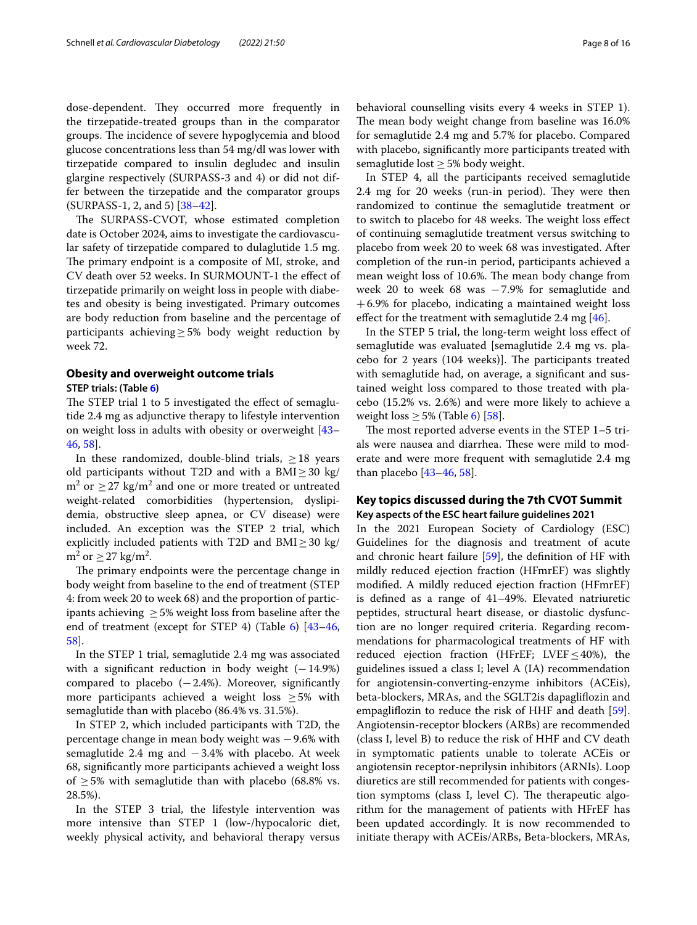dose-dependent. They occurred more frequently in the tirzepatide-treated groups than in the comparator groups. The incidence of severe hypoglycemia and blood glucose concentrations less than 54 mg/dl was lower with tirzepatide compared to insulin degludec and insulin glargine respectively (SURPASS-3 and 4) or did not differ between the tirzepatide and the comparator groups (SURPASS-1, 2, and 5) [\[38](#page-13-13)[–42\]](#page-13-14).

The SURPASS-CVOT, whose estimated completion date is October 2024, aims to investigate the cardiovascular safety of tirzepatide compared to dulaglutide 1.5 mg. The primary endpoint is a composite of MI, stroke, and CV death over 52 weeks. In SURMOUNT-1 the efect of tirzepatide primarily on weight loss in people with diabetes and obesity is being investigated. Primary outcomes are body reduction from baseline and the percentage of participants achieving≥5% body weight reduction by week 72.

# **Obesity and overweight outcome trials**

## **STEP trials: (Table [6](#page-8-0))**

The STEP trial 1 to 5 investigated the effect of semaglutide 2.4 mg as adjunctive therapy to lifestyle intervention on weight loss in adults with obesity or overweight [[43–](#page-13-15) [46,](#page-13-16) [58\]](#page-14-1).

In these randomized, double-blind trials,  $\geq$  18 years old participants without T2D and with a BMI $\geq$ 30 kg/  $\text{m}^2$  or  $\geq$  27 kg/m<sup>2</sup> and one or more treated or untreated weight-related comorbidities (hypertension, dyslipidemia, obstructive sleep apnea, or CV disease) were included. An exception was the STEP 2 trial, which explicitly included patients with T2D and  $BMI \geq 30$  kg/  $m^2$  or  $\geq$  27 kg/m<sup>2</sup>.

The primary endpoints were the percentage change in body weight from baseline to the end of treatment (STEP 4: from week 20 to week 68) and the proportion of participants achieving  $\geq$  5% weight loss from baseline after the end of treatment (except for STEP 4) (Table [6\)](#page-8-0) [[43](#page-13-15)[–46](#page-13-16), [58\]](#page-14-1).

In the STEP 1 trial, semaglutide 2.4 mg was associated with a significant reduction in body weight  $(-14.9%)$ compared to placebo  $(-2.4%)$ . Moreover, significantly more participants achieved a weight loss  $\geq$  5% with semaglutide than with placebo (86.4% vs. 31.5%).

In STEP 2, which included participants with T2D, the percentage change in mean body weight was −9.6% with semaglutide 2.4 mg and −3.4% with placebo. At week 68, signifcantly more participants achieved a weight loss of  $\geq$  5% with semaglutide than with placebo (68.8% vs. 28.5%).

In the STEP 3 trial, the lifestyle intervention was more intensive than STEP 1 (low-/hypocaloric diet, weekly physical activity, and behavioral therapy versus behavioral counselling visits every 4 weeks in STEP 1). The mean body weight change from baseline was 16.0% for semaglutide 2.4 mg and 5.7% for placebo. Compared with placebo, signifcantly more participants treated with semaglutide lost  $\geq$  5% body weight.

In STEP 4, all the participants received semaglutide 2.4 mg for 20 weeks (run-in period). They were then randomized to continue the semaglutide treatment or to switch to placebo for 48 weeks. The weight loss effect of continuing semaglutide treatment versus switching to placebo from week 20 to week 68 was investigated. After completion of the run-in period, participants achieved a mean weight loss of 10.6%. The mean body change from week 20 to week 68 was −7.9% for semaglutide and +6.9% for placebo, indicating a maintained weight loss effect for the treatment with semaglutide 2.4 mg  $[46]$  $[46]$  $[46]$ .

In the STEP 5 trial, the long-term weight loss efect of semaglutide was evaluated [semaglutide 2.4 mg vs. placebo for 2 years (104 weeks)]. The participants treated with semaglutide had, on average, a signifcant and sustained weight loss compared to those treated with placebo (15.2% vs. 2.6%) and were more likely to achieve a weight loss  $\geq$  5% (Table [6\)](#page-8-0) [\[58](#page-14-1)].

The most reported adverse events in the STEP  $1-5$  trials were nausea and diarrhea. These were mild to moderate and were more frequent with semaglutide 2.4 mg than placebo [[43](#page-13-15)[–46](#page-13-16), [58](#page-14-1)].

## **Key topics discussed during the 7th CVOT Summit Key aspects of the ESC heart failure guidelines 2021**

In the 2021 European Society of Cardiology (ESC) Guidelines for the diagnosis and treatment of acute and chronic heart failure [\[59\]](#page-14-2), the defnition of HF with mildly reduced ejection fraction (HFmrEF) was slightly modifed. A mildly reduced ejection fraction (HFmrEF) is defned as a range of 41–49%. Elevated natriuretic peptides, structural heart disease, or diastolic dysfunction are no longer required criteria. Regarding recommendations for pharmacological treatments of HF with reduced ejection fraction (HFrEF; LVEF $\leq$ 40%), the guidelines issued a class I; level A (IA) recommendation for angiotensin-converting-enzyme inhibitors (ACEis), beta-blockers, MRAs, and the SGLT2is dapaglifozin and empaglifozin to reduce the risk of HHF and death [\[59](#page-14-2)]. Angiotensin-receptor blockers (ARBs) are recommended (class I, level B) to reduce the risk of HHF and CV death in symptomatic patients unable to tolerate ACEis or angiotensin receptor-neprilysin inhibitors (ARNIs). Loop diuretics are still recommended for patients with congestion symptoms (class I, level C). The therapeutic algorithm for the management of patients with HFrEF has been updated accordingly. It is now recommended to initiate therapy with ACEis/ARBs, Beta-blockers, MRAs,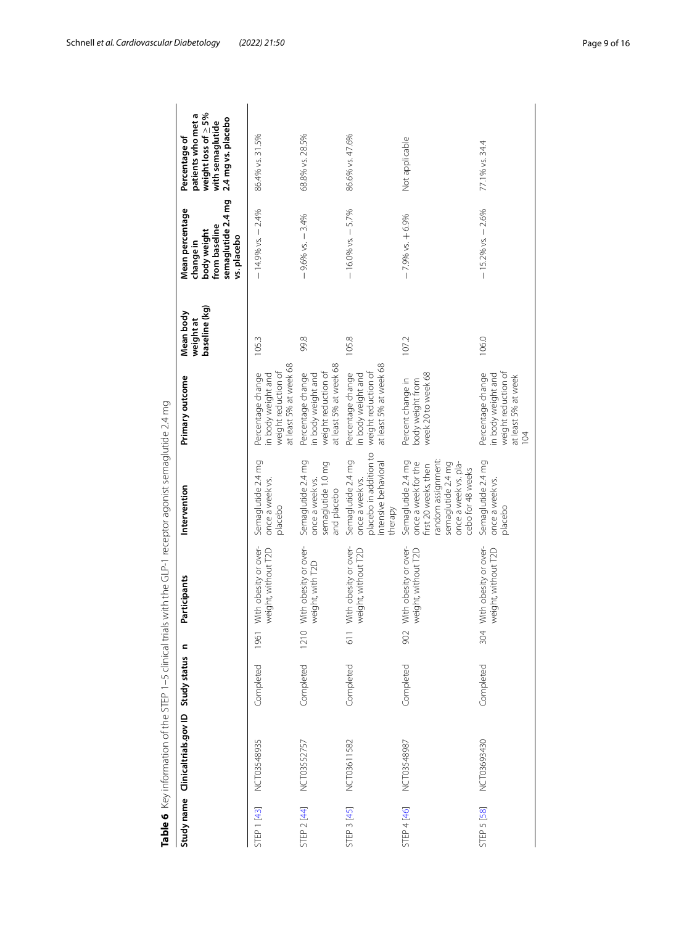|                                                                                                            | weight loss of $\geq$ 5%<br>patients who met a<br>2.4 mg vs. placebo<br>with semaglutide<br>Percentage of | 86.4% vs. 31.5%                                                                          | 68.8% vs. 28.5%                                                                          | 86.6% vs. 47.6%                                                                                    | Not applicable                                                                                                                                             | 77.1% vs. 34.4                                                                                          |
|------------------------------------------------------------------------------------------------------------|-----------------------------------------------------------------------------------------------------------|------------------------------------------------------------------------------------------|------------------------------------------------------------------------------------------|----------------------------------------------------------------------------------------------------|------------------------------------------------------------------------------------------------------------------------------------------------------------|---------------------------------------------------------------------------------------------------------|
|                                                                                                            | semaglutide 2.4 mg<br>Mean percentage<br>from baseline<br>body weight<br>vs. placebo<br>change in         | $-14.9%$ vs. $-2.4%$                                                                     | $-9.6%$ vs. $-3.4%$                                                                      | $-16.0\%$ vs. $-5.7\%$                                                                             | $-7.9%$ vs. $+6.9%$                                                                                                                                        | $-15.2\%$ vs. $-2.6\%$                                                                                  |
|                                                                                                            | baseline (kg)<br>Mean body<br>weightat                                                                    | 105.3                                                                                    | 99.8                                                                                     | 105.8                                                                                              | 107.2                                                                                                                                                      | 106.0                                                                                                   |
|                                                                                                            | Primary outcome                                                                                           | at least 5% at week 68<br>weight reduction of<br>Percentage change<br>in body weight and | at least 5% at week 68<br>weight reduction of<br>Percentage change<br>in body weight and | at least 5% at week 68<br>weight reduction of<br>Percentage change<br>in body weight and           | week 20 to week 68<br>Percent change in<br>body weight from                                                                                                | weight reduction of<br>Percentage change<br>in body weight and<br>at least 5% at week<br>$\overline{a}$ |
| Table 6 Key information of the STEP 1–5 clinical trials with the GLP-1 receptor agonist semaglutide 2.4 mg | Intervention                                                                                              | Semaglutide 2.4 mg<br>once a week vs.<br>placebo                                         | Semaglutide 2.4 mg<br>semaglutide 1.0 mg<br>once a week vs.<br>and placebo               | placebo in addition to<br>Semaglutide 2.4 mg<br>intensive behavioral<br>once a week vs.<br>therapy | random assignment:<br>Semaglutide 2.4 mg<br>once a week for the<br>semaglutide 2.4 mg<br>once a week vs. pla-<br>first 20 weeks, then<br>cebo for 48 weeks | Semaglutide 2.4 mg<br>once a week vs.<br>placebo                                                        |
|                                                                                                            | Participants                                                                                              | With obesity or over-<br>weight, without T2D                                             | With obesity or over-<br>weight, with T2D                                                | With obesity or over-<br>weight, without T2D                                                       | With obesity or over-<br>weight, without T2D                                                                                                               | With obesity or over-<br>weight, without T2D                                                            |
|                                                                                                            | c                                                                                                         | 1961                                                                                     | 1210                                                                                     | 611                                                                                                | 902                                                                                                                                                        | 304                                                                                                     |
|                                                                                                            |                                                                                                           | Completed                                                                                | Completed                                                                                | Completed                                                                                          | Completed                                                                                                                                                  | Completed                                                                                               |
|                                                                                                            | Clinicaltrials.gov ID Study status                                                                        | NCT03548935                                                                              | NCT03552757                                                                              | NCT03611582                                                                                        | NCT03548987                                                                                                                                                | NCT03693430                                                                                             |
|                                                                                                            | Study name                                                                                                | STEP 1 [43]                                                                              | STEP 2 [44]                                                                              | <b>STEP 3 [45]</b>                                                                                 | STEP 4 [46]                                                                                                                                                | <b>STEP 5 [58]</b>                                                                                      |

<span id="page-8-0"></span>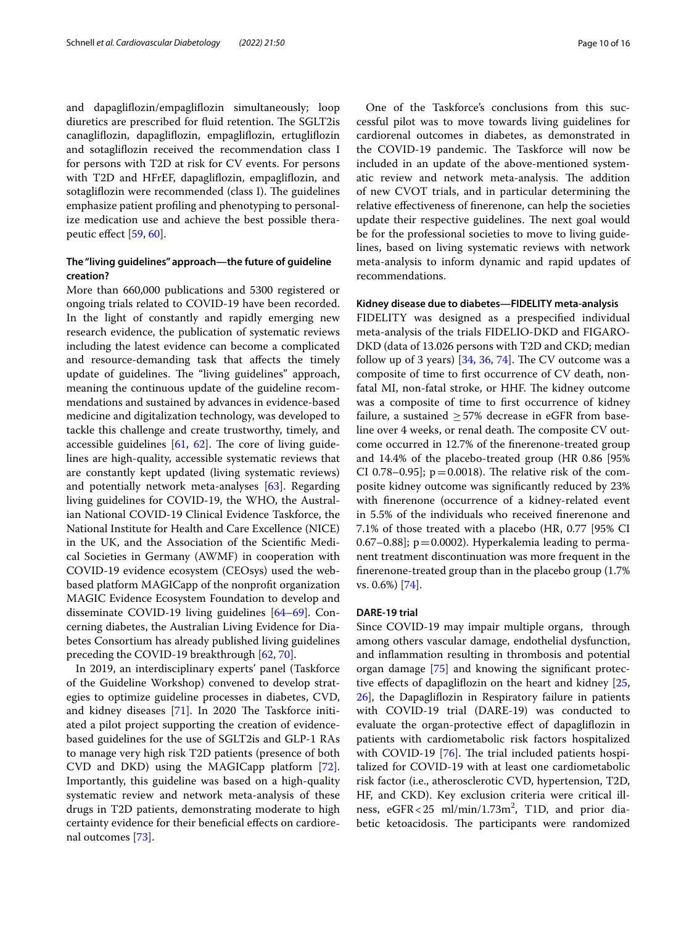and dapaglifozin/empaglifozin simultaneously; loop diuretics are prescribed for fluid retention. The SGLT2is canaglifozin, dapaglifozin, empaglifozin, ertuglifozin and sotaglifozin received the recommendation class I for persons with T2D at risk for CV events. For persons with T2D and HFrEF, dapaglifozin, empaglifozin, and sotagliflozin were recommended (class I). The guidelines emphasize patient profling and phenotyping to personalize medication use and achieve the best possible therapeutic efect [\[59](#page-14-2), [60\]](#page-14-3).

## **The "living guidelines" approach—the future of guideline creation?**

More than 660,000 publications and 5300 registered or ongoing trials related to COVID-19 have been recorded. In the light of constantly and rapidly emerging new research evidence, the publication of systematic reviews including the latest evidence can become a complicated and resource-demanding task that afects the timely update of guidelines. The "living guidelines" approach, meaning the continuous update of the guideline recommendations and sustained by advances in evidence-based medicine and digitalization technology, was developed to tackle this challenge and create trustworthy, timely, and accessible guidelines  $[61, 62]$  $[61, 62]$  $[61, 62]$  $[61, 62]$ . The core of living guidelines are high-quality, accessible systematic reviews that are constantly kept updated (living systematic reviews) and potentially network meta-analyses [\[63\]](#page-14-6). Regarding living guidelines for COVID-19, the WHO, the Australian National COVID-19 Clinical Evidence Taskforce, the National Institute for Health and Care Excellence (NICE) in the UK, and the Association of the Scientifc Medical Societies in Germany (AWMF) in cooperation with COVID-19 evidence ecosystem (CEOsys) used the webbased platform MAGICapp of the nonproft organization MAGIC Evidence Ecosystem Foundation to develop and disseminate COVID-19 living guidelines [\[64](#page-14-7)[–69](#page-14-8)]. Concerning diabetes, the Australian Living Evidence for Diabetes Consortium has already published living guidelines preceding the COVID-19 breakthrough [[62,](#page-14-5) [70\]](#page-14-9).

In 2019, an interdisciplinary experts' panel (Taskforce of the Guideline Workshop) convened to develop strategies to optimize guideline processes in diabetes, CVD, and kidney diseases  $[71]$  $[71]$ . In 2020 The Taskforce initiated a pilot project supporting the creation of evidencebased guidelines for the use of SGLT2is and GLP-1 RAs to manage very high risk T2D patients (presence of both CVD and DKD) using the MAGICapp platform [\[72](#page-14-11)]. Importantly, this guideline was based on a high-quality systematic review and network meta-analysis of these drugs in T2D patients, demonstrating moderate to high certainty evidence for their benefcial efects on cardiorenal outcomes [[73\]](#page-14-12).

One of the Taskforce's conclusions from this successful pilot was to move towards living guidelines for cardiorenal outcomes in diabetes, as demonstrated in the COVID-19 pandemic. The Taskforce will now be included in an update of the above-mentioned systematic review and network meta-analysis. The addition of new CVOT trials, and in particular determining the relative efectiveness of fnerenone, can help the societies update their respective guidelines. The next goal would be for the professional societies to move to living guidelines, based on living systematic reviews with network meta-analysis to inform dynamic and rapid updates of recommendations.

#### **Kidney disease due to diabetes—FIDELITY meta‑analysis**

FIDELITY was designed as a prespecifed individual meta-analysis of the trials FIDELIO-DKD and FIGARO-DKD (data of 13.026 persons with T2D and CKD; median follow up of 3 years)  $[34, 36, 74]$  $[34, 36, 74]$  $[34, 36, 74]$  $[34, 36, 74]$  $[34, 36, 74]$  $[34, 36, 74]$  $[34, 36, 74]$ . The CV outcome was a composite of time to frst occurrence of CV death, nonfatal MI, non-fatal stroke, or HHF. The kidney outcome was a composite of time to frst occurrence of kidney failure, a sustained  $\geq$  57% decrease in eGFR from baseline over 4 weeks, or renal death. The composite CV outcome occurred in 12.7% of the fnerenone-treated group and 14.4% of the placebo-treated group (HR 0.86 [95% CI 0.78–0.95];  $p=0.0018$ ). The relative risk of the composite kidney outcome was signifcantly reduced by 23% with fnerenone (occurrence of a kidney-related event in 5.5% of the individuals who received fnerenone and 7.1% of those treated with a placebo (HR, 0.77 [95% CI 0.67–0.88];  $p = 0.0002$ ). Hyperkalemia leading to permanent treatment discontinuation was more frequent in the fnerenone-treated group than in the placebo group (1.7% vs. 0.6%) [[74](#page-14-13)].

## **DARE‑19 trial**

Since COVID-19 may impair multiple organs, through among others vascular damage, endothelial dysfunction, and infammation resulting in thrombosis and potential organ damage [[75\]](#page-14-14) and knowing the signifcant protec-tive effects of dapagliflozin on the heart and kidney [[25](#page-13-4), [26\]](#page-13-5), the Dapaglifozin in Respiratory failure in patients with COVID-19 trial (DARE-19) was conducted to evaluate the organ-protective efect of dapaglifozin in patients with cardiometabolic risk factors hospitalized with COVID-19 [[76\]](#page-14-15). The trial included patients hospitalized for COVID-19 with at least one cardiometabolic risk factor (i.e., atherosclerotic CVD, hypertension, T2D, HF, and CKD). Key exclusion criteria were critical illness,  $e$ GFR $<$ 25 ml/min/1.73m<sup>2</sup>, T1D, and prior diabetic ketoacidosis. The participants were randomized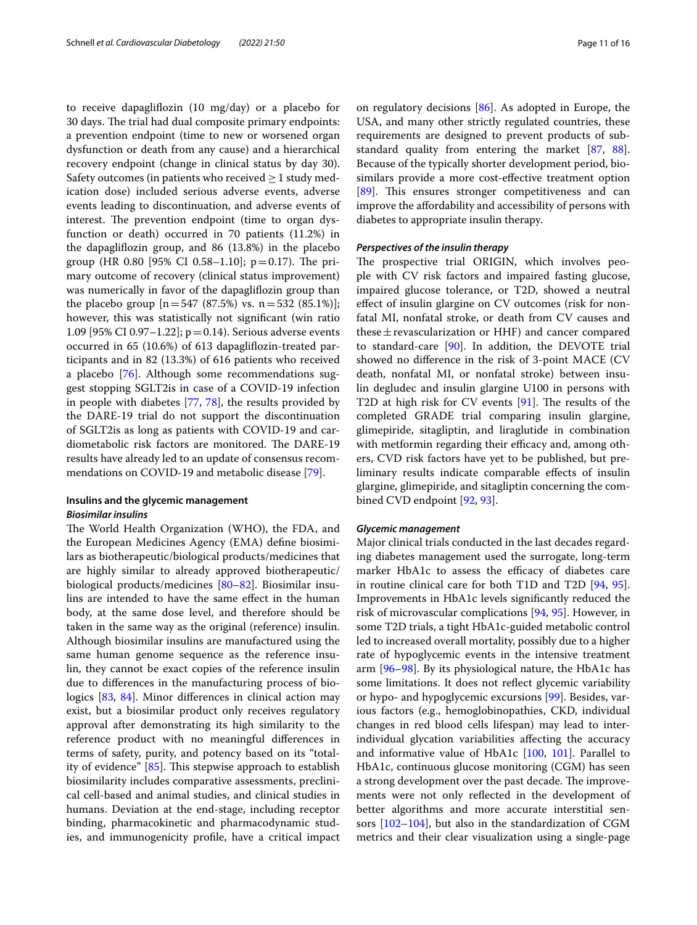to receive dapaglifozin (10 mg/day) or a placebo for 30 days. The trial had dual composite primary endpoints: a prevention endpoint (time to new or worsened organ dysfunction or death from any cause) and a hierarchical recovery endpoint (change in clinical status by day 30). Safety outcomes (in patients who received  $\geq 1$  study medication dose) included serious adverse events, adverse events leading to discontinuation, and adverse events of interest. The prevention endpoint (time to organ dysfunction or death) occurred in 70 patients (11.2%) in the dapaglifozin group, and 86 (13.8%) in the placebo group (HR 0.80 [95% CI 0.58–1.10];  $p=0.17$ ). The primary outcome of recovery (clinical status improvement) was numerically in favor of the dapaglifozin group than the placebo group  $[n=547 (87.5%)$  vs.  $n=532 (85.1%)$ ; however, this was statistically not signifcant (win ratio 1.09 [95% CI 0.97–1.22]; p=0.14). Serious adverse events occurred in 65 (10.6%) of 613 dapaglifozin-treated participants and in 82 (13.3%) of 616 patients who received a placebo [[76\]](#page-14-15). Although some recommendations suggest stopping SGLT2is in case of a COVID-19 infection in people with diabetes [\[77](#page-14-16), [78\]](#page-14-17), the results provided by the DARE-19 trial do not support the discontinuation of SGLT2is as long as patients with COVID-19 and cardiometabolic risk factors are monitored. The DARE-19 results have already led to an update of consensus recommendations on COVID-19 and metabolic disease [[79\]](#page-14-18).

## **Insulins and the glycemic management** *Biosimilar insulins*

The World Health Organization (WHO), the FDA, and the European Medicines Agency (EMA) defne biosimilars as biotherapeutic/biological products/medicines that are highly similar to already approved biotherapeutic/ biological products/medicines [\[80–](#page-14-19)[82\]](#page-14-20). Biosimilar insulins are intended to have the same efect in the human body, at the same dose level, and therefore should be taken in the same way as the original (reference) insulin. Although biosimilar insulins are manufactured using the same human genome sequence as the reference insulin, they cannot be exact copies of the reference insulin due to diferences in the manufacturing process of bio-logics [\[83,](#page-14-21) [84\]](#page-14-22). Minor differences in clinical action may exist, but a biosimilar product only receives regulatory approval after demonstrating its high similarity to the reference product with no meaningful diferences in terms of safety, purity, and potency based on its "totality of evidence"  $[85]$  $[85]$  $[85]$ . This stepwise approach to establish biosimilarity includes comparative assessments, preclinical cell-based and animal studies, and clinical studies in humans. Deviation at the end-stage, including receptor binding, pharmacokinetic and pharmacodynamic studies, and immunogenicity profle, have a critical impact on regulatory decisions [\[86\]](#page-14-24). As adopted in Europe, the USA, and many other strictly regulated countries, these requirements are designed to prevent products of substandard quality from entering the market [\[87,](#page-14-25) [88](#page-14-26)]. Because of the typically shorter development period, biosimilars provide a more cost-efective treatment option [[89\]](#page-14-27). This ensures stronger competitiveness and can improve the afordability and accessibility of persons with diabetes to appropriate insulin therapy.

## *Perspectives of the insulin therapy*

The prospective trial ORIGIN, which involves people with CV risk factors and impaired fasting glucose, impaired glucose tolerance, or T2D, showed a neutral efect of insulin glargine on CV outcomes (risk for nonfatal MI, nonfatal stroke, or death from CV causes and these  $\pm$  revascularization or HHF) and cancer compared to standard-care [\[90](#page-14-28)]. In addition, the DEVOTE trial showed no diference in the risk of 3-point MACE (CV death, nonfatal MI, or nonfatal stroke) between insulin degludec and insulin glargine U100 in persons with T2D at high risk for CV events  $[91]$ . The results of the completed GRADE trial comparing insulin glargine, glimepiride, sitagliptin, and liraglutide in combination with metformin regarding their efficacy and, among others, CVD risk factors have yet to be published, but preliminary results indicate comparable efects of insulin glargine, glimepiride, and sitagliptin concerning the combined CVD endpoint [\[92,](#page-14-30) [93](#page-15-0)].

## *Glycemic management*

Major clinical trials conducted in the last decades regarding diabetes management used the surrogate, long-term marker HbA1c to assess the efficacy of diabetes care in routine clinical care for both T1D and T2D [[94,](#page-15-1) [95](#page-15-2)]. Improvements in HbA1c levels signifcantly reduced the risk of microvascular complications [[94,](#page-15-1) [95](#page-15-2)]. However, in some T2D trials, a tight HbA1c-guided metabolic control led to increased overall mortality, possibly due to a higher rate of hypoglycemic events in the intensive treatment arm [[96](#page-15-3)[–98](#page-15-4)]. By its physiological nature, the HbA1c has some limitations. It does not refect glycemic variability or hypo- and hypoglycemic excursions [[99\]](#page-15-5). Besides, various factors (e.g., hemoglobinopathies, CKD, individual changes in red blood cells lifespan) may lead to interindividual glycation variabilities afecting the accuracy and informative value of HbA1c [\[100,](#page-15-6) [101](#page-15-7)]. Parallel to HbA1c, continuous glucose monitoring (CGM) has seen a strong development over the past decade. The improvements were not only refected in the development of better algorithms and more accurate interstitial sensors [[102–](#page-15-8)[104](#page-15-9)], but also in the standardization of CGM metrics and their clear visualization using a single-page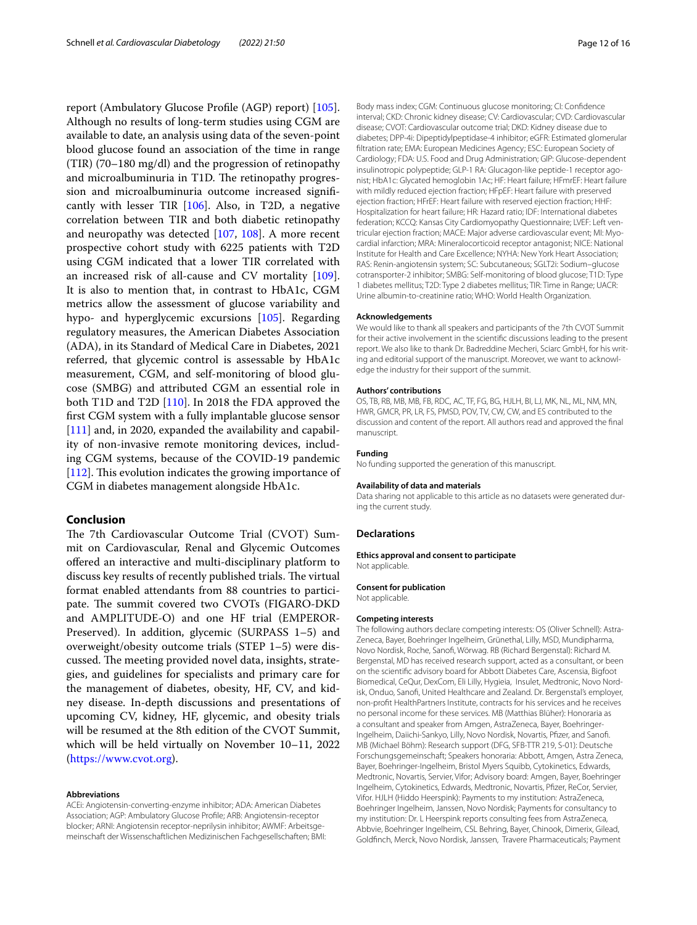report (Ambulatory Glucose Profle (AGP) report) [\[105](#page-15-10)]. Although no results of long-term studies using CGM are available to date, an analysis using data of the seven-point blood glucose found an association of the time in range (TIR) (70–180 mg/dl) and the progression of retinopathy and microalbuminuria in T1D. The retinopathy progression and microalbuminuria outcome increased signifcantly with lesser TIR  $[106]$  $[106]$ . Also, in T2D, a negative correlation between TIR and both diabetic retinopathy and neuropathy was detected [[107,](#page-15-12) [108\]](#page-15-13). A more recent prospective cohort study with 6225 patients with T2D using CGM indicated that a lower TIR correlated with an increased risk of all-cause and CV mortality [\[109](#page-15-14)]. It is also to mention that, in contrast to HbA1c, CGM metrics allow the assessment of glucose variability and hypo- and hyperglycemic excursions [\[105](#page-15-10)]. Regarding regulatory measures, the American Diabetes Association (ADA), in its Standard of Medical Care in Diabetes, 2021 referred, that glycemic control is assessable by HbA1c measurement, CGM, and self-monitoring of blood glucose (SMBG) and attributed CGM an essential role in both T1D and T2D [\[110](#page-15-15)]. In 2018 the FDA approved the frst CGM system with a fully implantable glucose sensor [[111\]](#page-15-16) and, in 2020, expanded the availability and capability of non-invasive remote monitoring devices, including CGM systems, because of the COVID-19 pandemic [[112\]](#page-15-17). This evolution indicates the growing importance of CGM in diabetes management alongside HbA1c.

## **Conclusion**

The 7th Cardiovascular Outcome Trial (CVOT) Summit on Cardiovascular, Renal and Glycemic Outcomes offered an interactive and multi-disciplinary platform to discuss key results of recently published trials. The virtual format enabled attendants from 88 countries to participate. The summit covered two CVOTs (FIGARO-DKD and AMPLITUDE-O) and one HF trial (EMPEROR-Preserved). In addition, glycemic (SURPASS 1–5) and overweight/obesity outcome trials (STEP 1–5) were discussed. The meeting provided novel data, insights, strategies, and guidelines for specialists and primary care for the management of diabetes, obesity, HF, CV, and kidney disease. In-depth discussions and presentations of upcoming CV, kidney, HF, glycemic, and obesity trials will be resumed at the 8th edition of the CVOT Summit, which will be held virtually on November 10–11, 2022 ([https://www.cvot.org\)](https://www.cvot.org).

#### **Abbreviations**

ACEi: Angiotensin-converting-enzyme inhibitor; ADA: American Diabetes Association; AGP: Ambulatory Glucose Profle; ARB: Angiotensin-receptor blocker; ARNI: Angiotensin receptor-neprilysin inhibitor; AWMF: Arbeitsge‑ meinschaft der Wissenschaftlichen Medizinischen Fachgesellschaften; BMI: Body mass index; CGM: Continuous glucose monitoring; CI: Confdence interval; CKD: Chronic kidney disease; CV: Cardiovascular; CVD: Cardiovascular disease; CVOT: Cardiovascular outcome trial; DKD: Kidney disease due to diabetes; DPP-4i: Dipeptidylpeptidase-4 inhibitor; eGFR: Estimated glomerular fltration rate; EMA: European Medicines Agency; ESC: European Society of Cardiology; FDA: U.S. Food and Drug Administration; GIP: Glucose-dependent insulinotropic polypeptide; GLP-1 RA: Glucagon-like peptide-1 receptor agonist; HbA1c: Glycated hemoglobin 1Ac; HF: Heart failure; HFmrEF: Heart failure with mildly reduced ejection fraction; HFpEF: Heart failure with preserved ejection fraction; HFrEF: Heart failure with reserved ejection fraction; HHF: Hospitalization for heart failure; HR: Hazard ratio; IDF: International diabetes federation; KCCQ: Kansas City Cardiomyopathy Questionnaire; LVEF: Left ventricular ejection fraction; MACE: Major adverse cardiovascular event; MI: Myocardial infarction; MRA: Mineralocorticoid receptor antagonist; NICE: National Institute for Health and Care Excellence; NYHA: New York Heart Association; RAS: Renin-angiotensin system; SC: Subcutaneous; SGLT2i: Sodium–glucose cotransporter-2 inhibitor; SMBG: Self-monitoring of blood glucose; T1D: Type 1 diabetes mellitus; T2D: Type 2 diabetes mellitus; TIR: Time in Range; UACR: Urine albumin-to-creatinine ratio; WHO: World Health Organization.

#### **Acknowledgements**

We would like to thank all speakers and participants of the 7th CVOT Summit for their active involvement in the scientifc discussions leading to the present report. We also like to thank Dr. Badreddine Mecheri, Sciarc GmbH, for his writ‑ ing and editorial support of the manuscript. Moreover, we want to acknowledge the industry for their support of the summit.

#### **Authors' contributions**

OS, TB, RB, MB, MB, FB, RDC, AC, TF, FG, BG, HJLH, BI, LJ, MK, NL, ML, NM, MN, HWR, GMCR, PR, LR, FS, PMSD, POV, TV, CW, CW, and ES contributed to the discussion and content of the report. All authors read and approved the fnal manuscript.

#### **Funding**

No funding supported the generation of this manuscript.

#### **Availability of data and materials**

Data sharing not applicable to this article as no datasets were generated during the current study.

#### **Declarations**

**Ethics approval and consent to participate**

Not applicable.

## **Consent for publication**

Not applicable.

#### **Competing interests**

The following authors declare competing interests: OS (Oliver Schnell): Astra-Zeneca, Bayer, Boehringer Ingelheim, Grünethal, Lilly, MSD, Mundipharma, Novo Nordisk, Roche, Sanof, Wörwag. RB (Richard Bergenstal): Richard M. Bergenstal, MD has received research support, acted as a consultant, or been on the scientifc advisory board for Abbott Diabetes Care, Ascensia, Bigfoot Biomedical, CeQur, DexCom, Eli Lilly, Hygieia, Insulet, Medtronic, Novo Nordisk, Onduo, Sanof, United Healthcare and Zealand. Dr. Bergenstal's employer, non-proft HealthPartners Institute, contracts for his services and he receives no personal income for these services. MB (Matthias Blüher): Honoraria as a consultant and speaker from Amgen, AstraZeneca, Bayer, Boehringer-Ingelheim, Daiichi-Sankyo, Lilly, Novo Nordisk, Novartis, Pfizer, and Sanofi. MB (Michael Böhm): Research support (DFG, SFB-TTR 219, S-01): Deutsche Forschungsgemeinschaft; Speakers honoraria: Abbott, Amgen, Astra Zeneca, Bayer, Boehringer-Ingelheim, Bristol Myers Squibb, Cytokinetics, Edwards, Medtronic, Novartis, Servier, Vifor; Advisory board: Amgen, Bayer, Boehringer Ingelheim, Cytokinetics, Edwards, Medtronic, Novartis, Pfzer, ReCor, Servier, Vifor. HJLH (Hiddo Heerspink): Payments to my institution: AstraZeneca, Boehringer Ingelheim, Janssen, Novo Nordisk; Payments for consultancy to my institution: Dr. L Heerspink reports consulting fees from AstraZeneca, Abbvie, Boehringer Ingelheim, CSL Behring, Bayer, Chinook, Dimerix, Gilead, Goldfnch, Merck, Novo Nordisk, Janssen, Travere Pharmaceuticals; Payment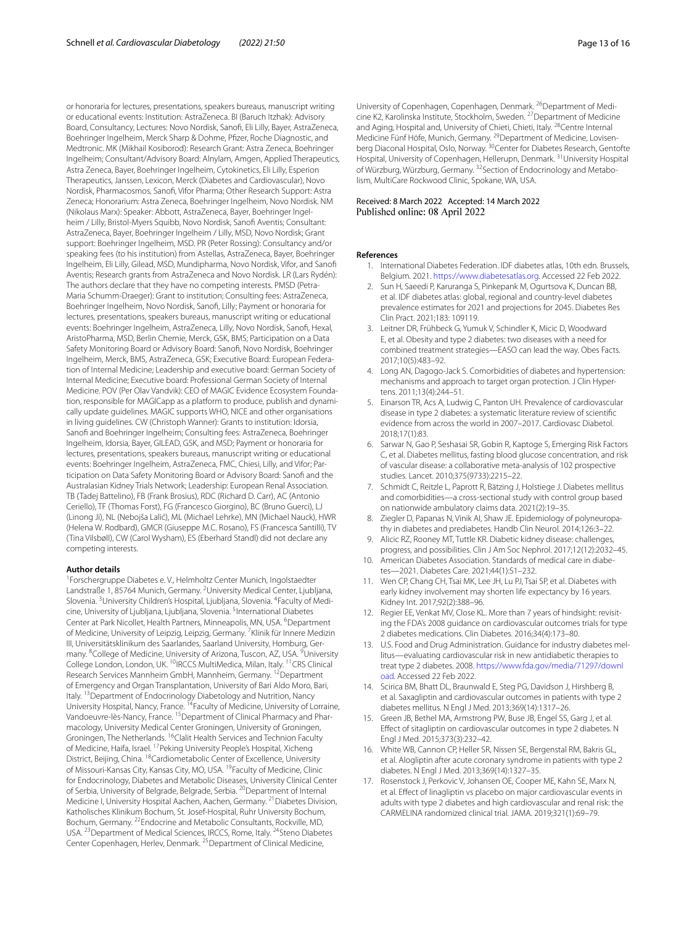or honoraria for lectures, presentations, speakers bureaus, manuscript writing or educational events: Institution: AstraZeneca. BI (Baruch Itzhak): Advisory Board, Consultancy, Lectures: Novo Nordisk, Sanof, Eli Lilly, Bayer, AstraZeneca, Boehringer Ingelheim, Merck Sharp & Dohme, Pfzer, Roche Diagnostic, and Medtronic. MK (Mikhail Kosiborod): Research Grant: Astra Zeneca, Boehringer Ingelheim; Consultant/Advisory Board: Alnylam, Amgen, Applied Therapeutics, Astra Zeneca, Bayer, Boehringer Ingelheim, Cytokinetics, Eli Lilly, Esperion Therapeutics, Janssen, Lexicon, Merck (Diabetes and Cardiovascular), Novo Nordisk, Pharmacosmos, Sanof, Vifor Pharma; Other Research Support: Astra Zeneca; Honorarium: Astra Zeneca, Boehringer Ingelheim, Novo Nordisk. NM (Nikolaus Marx): Speaker: Abbott, AstraZeneca, Bayer, Boehringer Ingelheim / Lilly, Bristol-Myers Squibb, Novo Nordisk, Sanof Aventis; Consultant: AstraZeneca, Bayer, Boehringer Ingelheim / Lilly, MSD, Novo Nordisk; Grant support: Boehringer Ingelheim, MSD. PR (Peter Rossing): Consultancy and/or speaking fees (to his institution) from Astellas, AstraZeneca, Bayer, Boehringer Ingelheim, Eli Lilly, Gilead, MSD, Mundipharma, Novo Nordisk, Vifor, and Sanof Aventis: Research grants from AstraZeneca and Novo Nordisk. LR (Lars Rydén): The authors declare that they have no competing interests. PMSD (Petra-Maria Schumm-Draeger): Grant to institution; Consulting fees: AstraZeneca, Boehringer Ingelheim, Novo Nordisk, Sanof, Lilly; Payment or honoraria for lectures, presentations, speakers bureaus, manuscript writing or educational events: Boehringer Ingelheim, AstraZeneca, Lilly, Novo Nordisk, Sanof, Hexal, AristoPharma, MSD, Berlin Chemie, Merck, GSK, BMS; Participation on a Data Safety Monitoring Board or Advisory Board: Sanof, Novo Nordisk, Boehringer Ingelheim, Merck, BMS, AstraZeneca, GSK; Executive Board: European Federation of Internal Medicine; Leadership and executive board: German Society of Internal Medicine; Executive board: Professional German Society of Internal Medicine. POV (Per Olav Vandvik): CEO of MAGIC Evidence Ecosystem Foundation, responsible for MAGICapp as a platform to produce, publish and dynamically update guidelines. MAGIC supports WHO, NICE and other organisations in living guidelines. CW (Christoph Wanner): Grants to institution: Idorsia, Sanofi and Boehringer Ingelheim; Consulting fees: AstraZeneca, Boehringer Ingelheim, Idorsia, Bayer, GILEAD, GSK, and MSD; Payment or honoraria for lectures, presentations, speakers bureaus, manuscript writing or educational events: Boehringer Ingelheim, AstraZeneca, FMC, Chiesi, Lilly, and Vifor; Participation on Data Safety Monitoring Board or Advisory Board: Sanof and the Australasian Kidney Trials Network; Leadership: European Renal Association. TB (Tadej Battelino), FB (Frank Brosius), RDC (Richard D. Carr), AC (Antonio Ceriello), TF (Thomas Forst), FG (Francesco Giorgino), BC (Bruno Guerci), LJ (Linong Ji), NL (Nebojša Lalić), ML (Michael Lehrke), MN (Michael Nauck), HWR (Helena W. Rodbard), GMCR (Giuseppe M.C. Rosano), FS (Francesca Santilli), TV (Tina Vilsbøll), CW (Carol Wysham), ES (Eberhard Standl) did not declare any competing interests.

#### **Author details**

<sup>1</sup> Forschergruppe Diabetes e. V., Helmholtz Center Munich, Ingolstaedter Landstraße 1, 85764 Munich, Germany. <sup>2</sup>University Medical Center, Ljubljana, Slovenia. <sup>3</sup>University Children's Hospital, Ljubljana, Slovenia. <sup>4</sup>Faculty of Medicine, University of Ljubljana, Ljubljana, Slovenia. <sup>5</sup>International Diabetes Center at Park Nicollet, Health Partners, Minneapolis, MN, USA. <sup>6</sup>Department of Medicine, University of Leipzig, Leipzig, Germany. <sup>7</sup> Klinik für Innere Medizin III, Universitätsklinikum des Saarlandes, Saarland University, Homburg, Germany. <sup>8</sup>College of Medicine, University of Arizona, Tuscon, AZ, USA. <sup>9</sup>University College London, London, UK. 10IRCCS MultiMedica, Milan, Italy. 11CRS Clinical Research Services Mannheim GmbH, Mannheim, Germany. <sup>12</sup> Department of Emergency and Organ Transplantation, University of Bari Aldo Moro, Bari, Italy. 13Department of Endocrinology Diabetology and Nutrition, Nancy University Hospital, Nancy, France.<sup>14</sup>Faculty of Medicine, University of Lorraine, Vandoeuvre-lès-Nancy, France. <sup>15</sup> Department of Clinical Pharmacy and Pharmacology, University Medical Center Groningen, University of Groningen, Groningen, The Netherlands. 16Clalit Health Services and Technion Faculty of Medicine, Haifa, Israel. <sup>17</sup> Peking University People's Hospital, Xicheng District, Beijing, China. 18Cardiometabolic Center of Excellence, University of Missouri-Kansas City, Kansas City, MO, USA. 19Faculty of Medicine, Clinic for Endocrinology, Diabetes and Metabolic Diseases, University Clinical Center of Serbia, University of Belgrade, Belgrade, Serbia.<sup>20</sup>Department of Internal Medicine I, University Hospital Aachen, Aachen, Germany. 21Diabetes Division, Katholisches Klinikum Bochum, St. Josef‑Hospital, Ruhr University Bochum, Bochum, Germany. 22Endocrine and Metabolic Consultants, Rockville, MD, USA. <sup>23</sup> Department of Medical Sciences, IRCCS, Rome, Italy. <sup>24</sup> Steno Diabetes Center Copenhagen, Herlev, Denmark.<sup>25</sup> Department of Clinical Medicine,

University of Copenhagen, Copenhagen, Denmark.<sup>26</sup>Department of Medicine K2, Karolinska Institute, Stockholm, Sweden. 27Department of Medicine and Aging, Hospital and, University of Chieti, Chieti, Italy. <sup>28</sup>Centre Internal Medicine Fünf Höfe, Munich, Germany. <sup>29</sup> Department of Medicine, Lovisenberg Diaconal Hospital, Oslo, Norway. <sup>30</sup> Center for Diabetes Research, Gentofte Hospital, University of Copenhagen, Hellerupn, Denmark. 31University Hospital of Würzburg, Würzburg, Germany. <sup>32</sup> Section of Endocrinology and Metabolism, MultiCare Rockwood Clinic, Spokane, WA, USA.

#### Received: 8 March 2022 Accepted: 14 March 2022 Published online: 08 April 2022

#### <span id="page-12-0"></span>**References**

- 1. International Diabetes Federation. IDF diabetes atlas, 10th edn. Brussels, Belgium. 2021.<https://www.diabetesatlas.org>. Accessed 22 Feb 2022.
- <span id="page-12-1"></span>2. Sun H, Saeedi P, Karuranga S, Pinkepank M, Ogurtsova K, Duncan BB, et al. IDF diabetes atlas: global, regional and country-level diabetes prevalence estimates for 2021 and projections for 2045. Diabetes Res Clin Pract. 2021;183: 109119.
- <span id="page-12-2"></span>3. Leitner DR, Frühbeck G, Yumuk V, Schindler K, Micic D, Woodward E, et al. Obesity and type 2 diabetes: two diseases with a need for combined treatment strategies—EASO can lead the way. Obes Facts. 2017;10(5):483–92.
- <span id="page-12-3"></span>4. Long AN, Dagogo-Jack S. Comorbidities of diabetes and hypertension: mechanisms and approach to target organ protection. J Clin Hypertens. 2011;13(4):244–51.
- <span id="page-12-4"></span>5. Einarson TR, Acs A, Ludwig C, Panton UH. Prevalence of cardiovascular disease in type 2 diabetes: a systematic literature review of scientifc evidence from across the world in 2007–2017. Cardiovasc Diabetol. 2018;17(1):83.
- <span id="page-12-5"></span>6. Sarwar N, Gao P, Seshasai SR, Gobin R, Kaptoge S, Emerging Risk Factors C, et al. Diabetes mellitus, fasting blood glucose concentration, and risk of vascular disease: a collaborative meta-analysis of 102 prospective studies. Lancet. 2010;375(9733):2215–22.
- <span id="page-12-6"></span>7. Schmidt C, Reitzle L, Paprott R, Bätzing J, Holstiege J. Diabetes mellitus and comorbidities—a cross-sectional study with control group based on nationwide ambulatory claims data. 2021(2):19–35.
- <span id="page-12-7"></span>8. Ziegler D, Papanas N, Vinik AI, Shaw JE. Epidemiology of polyneuropathy in diabetes and prediabetes. Handb Clin Neurol. 2014;126:3–22.
- <span id="page-12-8"></span>9. Alicic RZ, Rooney MT, Tuttle KR. Diabetic kidney disease: challenges, progress, and possibilities. Clin J Am Soc Nephrol. 2017;12(12):2032–45.
- <span id="page-12-9"></span>10. American Diabetes Association. Standards of medical care in diabetes—2021. Diabetes Care. 2021;44(1):S1–232.
- <span id="page-12-10"></span>11. Wen CP, Chang CH, Tsai MK, Lee JH, Lu PJ, Tsai SP, et al. Diabetes with early kidney involvement may shorten life expectancy by 16 years. Kidney Int. 2017;92(2):388–96.
- <span id="page-12-11"></span>12. Regier EE, Venkat MV, Close KL. More than 7 years of hindsight: revisiting the FDA's 2008 guidance on cardiovascular outcomes trials for type 2 diabetes medications. Clin Diabetes. 2016;34(4):173–80.
- <span id="page-12-12"></span>13. U.S. Food and Drug Administration. Guidance for industry diabetes mellitus—evaluating cardiovascular risk in new antidiabetic therapies to treat type 2 diabetes. 2008. [https://www.fda.gov/media/71297/downl](https://www.fda.gov/media/71297/download) [oad.](https://www.fda.gov/media/71297/download) Accessed 22 Feb 2022.
- <span id="page-12-13"></span>14. Scirica BM, Bhatt DL, Braunwald E, Steg PG, Davidson J, Hirshberg B, et al. Saxagliptin and cardiovascular outcomes in patients with type 2 diabetes mellitus. N Engl J Med. 2013;369(14):1317–26.
- 15. Green JB, Bethel MA, Armstrong PW, Buse JB, Engel SS, Garg J, et al. Efect of sitagliptin on cardiovascular outcomes in type 2 diabetes. N Engl J Med. 2015;373(3):232–42.
- 16. White WB, Cannon CP, Heller SR, Nissen SE, Bergenstal RM, Bakris GL, et al. Alogliptin after acute coronary syndrome in patients with type 2 diabetes. N Engl J Med. 2013;369(14):1327–35.
- 17. Rosenstock J, Perkovic V, Johansen OE, Cooper ME, Kahn SE, Marx N, et al. Efect of linagliptin vs placebo on major cardiovascular events in adults with type 2 diabetes and high cardiovascular and renal risk: the CARMELINA randomized clinical trial. JAMA. 2019;321(1):69–79.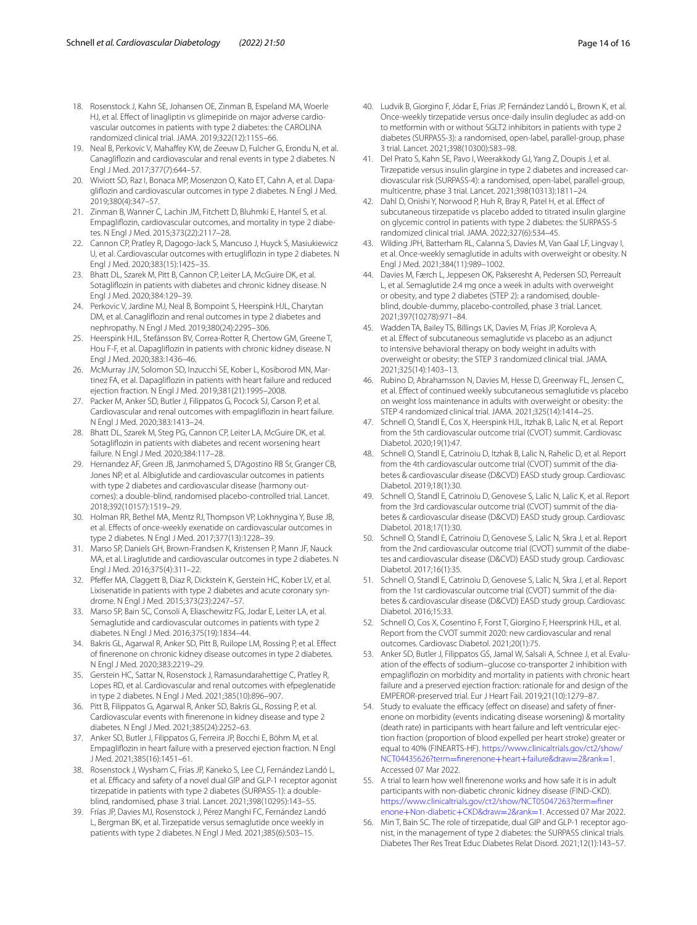- <span id="page-13-0"></span>18. Rosenstock J, Kahn SE, Johansen OE, Zinman B, Espeland MA, Woerle HJ, et al. Effect of linagliptin vs glimepiride on major adverse cardiovascular outcomes in patients with type 2 diabetes: the CAROLINA randomized clinical trial. JAMA. 2019;322(12):1155–66.
- <span id="page-13-1"></span>19. Neal B, Perkovic V, Mahafey KW, de Zeeuw D, Fulcher G, Erondu N, et al. Canaglifozin and cardiovascular and renal events in type 2 diabetes. N Engl J Med. 2017;377(7):644–57.
- 20. Wiviott SD, Raz I, Bonaca MP, Mosenzon O, Kato ET, Cahn A, et al. Dapaglifozin and cardiovascular outcomes in type 2 diabetes. N Engl J Med. 2019;380(4):347–57.
- 21. Zinman B, Wanner C, Lachin JM, Fitchett D, Bluhmki E, Hantel S, et al. Empagliflozin, cardiovascular outcomes, and mortality in type 2 diabetes. N Engl J Med. 2015;373(22):2117–28.
- 22. Cannon CP, Pratley R, Dagogo-Jack S, Mancuso J, Huyck S, Masiukiewicz U, et al. Cardiovascular outcomes with ertuglifozin in type 2 diabetes. N Engl J Med. 2020;383(15):1425–35.
- <span id="page-13-2"></span>23. Bhatt DL, Szarek M, Pitt B, Cannon CP, Leiter LA, McGuire DK, et al. Sotaglifozin in patients with diabetes and chronic kidney disease. N Engl J Med. 2020;384:129–39.
- <span id="page-13-3"></span>24. Perkovic V, Jardine MJ, Neal B, Bompoint S, Heerspink HJL, Charytan DM, et al. Canaglifozin and renal outcomes in type 2 diabetes and nephropathy. N Engl J Med. 2019;380(24):2295–306.
- <span id="page-13-4"></span>25. Heerspink HJL, Stefánsson BV, Correa-Rotter R, Chertow GM, Greene T, Hou F-F, et al. Dapaglifozin in patients with chronic kidney disease. N Engl J Med. 2020;383:1436–46.
- <span id="page-13-5"></span>26. McMurray JJV, Solomon SD, Inzucchi SE, Kober L, Kosiborod MN, Martinez FA, et al. Dapaglifozin in patients with heart failure and reduced ejection fraction. N Engl J Med. 2019;381(21):1995–2008.
- 27. Packer M, Anker SD, Butler J, Filippatos G, Pocock SJ, Carson P, et al. Cardiovascular and renal outcomes with empaglifozin in heart failure. N Engl J Med. 2020;383:1413–24.
- <span id="page-13-6"></span>28. Bhatt DL, Szarek M, Steg PG, Cannon CP, Leiter LA, McGuire DK, et al. Sotaglifozin in patients with diabetes and recent worsening heart failure. N Engl J Med. 2020;384:117–28.
- <span id="page-13-7"></span>29. Hernandez AF, Green JB, Janmohamed S, D'Agostino RB Sr, Granger CB, Jones NP, et al. Albiglutide and cardiovascular outcomes in patients with type 2 diabetes and cardiovascular disease (harmony outcomes): a double-blind, randomised placebo-controlled trial. Lancet. 2018;392(10157):1519–29.
- 30. Holman RR, Bethel MA, Mentz RJ, Thompson VP, Lokhnygina Y, Buse JB, et al. Efects of once-weekly exenatide on cardiovascular outcomes in type 2 diabetes. N Engl J Med. 2017;377(13):1228–39.
- 31. Marso SP, Daniels GH, Brown-Frandsen K, Kristensen P, Mann JF, Nauck MA, et al. Liraglutide and cardiovascular outcomes in type 2 diabetes. N Engl J Med. 2016;375(4):311–22.
- 32. Pfefer MA, Claggett B, Diaz R, Dickstein K, Gerstein HC, Kober LV, et al. Lixisenatide in patients with type 2 diabetes and acute coronary syndrome. N Engl J Med. 2015;373(23):2247–57.
- <span id="page-13-8"></span>33. Marso SP, Bain SC, Consoli A, Eliaschewitz FG, Jodar E, Leiter LA, et al. Semaglutide and cardiovascular outcomes in patients with type 2 diabetes. N Engl J Med. 2016;375(19):1834–44.
- <span id="page-13-9"></span>34. Bakris GL, Agarwal R, Anker SD, Pitt B, Ruilope LM, Rossing P, et al. Efect of fnerenone on chronic kidney disease outcomes in type 2 diabetes. N Engl J Med. 2020;383:2219–29.
- <span id="page-13-10"></span>35. Gerstein HC, Sattar N, Rosenstock J, Ramasundarahettige C, Pratley R, Lopes RD, et al. Cardiovascular and renal outcomes with efpeglenatide in type 2 diabetes. N Engl J Med. 2021;385(10):896–907.
- <span id="page-13-11"></span>36. Pitt B, Filippatos G, Agarwal R, Anker SD, Bakris GL, Rossing P, et al. Cardiovascular events with fnerenone in kidney disease and type 2 diabetes. N Engl J Med. 2021;385(24):2252–63.
- <span id="page-13-12"></span>37. Anker SD, Butler J, Filippatos G, Ferreira JP, Bocchi E, Böhm M, et al. Empaglifozin in heart failure with a preserved ejection fraction. N Engl J Med. 2021;385(16):1451–61.
- <span id="page-13-13"></span>38. Rosenstock J, Wysham C, Frías JP, Kaneko S, Lee CJ, Fernández Landó L, et al. Efficacy and safety of a novel dual GIP and GLP-1 receptor agonist tirzepatide in patients with type 2 diabetes (SURPASS-1): a doubleblind, randomised, phase 3 trial. Lancet. 2021;398(10295):143–55.
- <span id="page-13-23"></span>39. Frías JP, Davies MJ, Rosenstock J, Pérez Manghi FC, Fernández Landó L, Bergman BK, et al. Tirzepatide versus semaglutide once weekly in patients with type 2 diabetes. N Engl J Med. 2021;385(6):503–15.
- <span id="page-13-24"></span>40. Ludvik B, Giorgino F, Jódar E, Frias JP, Fernández Landó L, Brown K, et al. Once-weekly tirzepatide versus once-daily insulin degludec as add-on to metformin with or without SGLT2 inhibitors in patients with type 2 diabetes (SURPASS-3): a randomised, open-label, parallel-group, phase 3 trial. Lancet. 2021;398(10300):583–98.
- <span id="page-13-25"></span>41. Del Prato S, Kahn SE, Pavo I, Weerakkody GJ, Yang Z, Doupis J, et al. Tirzepatide versus insulin glargine in type 2 diabetes and increased car‑ diovascular risk (SURPASS-4): a randomised, open-label, parallel-group, multicentre, phase 3 trial. Lancet. 2021;398(10313):1811–24.
- <span id="page-13-14"></span>42. Dahl D, Onishi Y, Norwood P, Huh R, Bray R, Patel H, et al. Efect of subcutaneous tirzepatide vs placebo added to titrated insulin glargine on glycemic control in patients with type 2 diabetes: the SURPASS-5 randomized clinical trial. JAMA. 2022;327(6):534–45.
- <span id="page-13-15"></span>43. Wilding JPH, Batterham RL, Calanna S, Davies M, Van Gaal LF, Lingvay I, et al. Once-weekly semaglutide in adults with overweight or obesity. N Engl J Med. 2021;384(11):989–1002.
- <span id="page-13-26"></span>44. Davies M, Færch L, Jeppesen OK, Pakseresht A, Pedersen SD, Perreault L, et al. Semaglutide 2.4 mg once a week in adults with overweight or obesity, and type 2 diabetes (STEP 2): a randomised, doubleblind, double-dummy, placebo-controlled, phase 3 trial. Lancet. 2021;397(10278):971–84.
- <span id="page-13-27"></span>45. Wadden TA, Bailey TS, Billings LK, Davies M, Frias JP, Koroleva A, et al. Efect of subcutaneous semaglutide vs placebo as an adjunct to intensive behavioral therapy on body weight in adults with overweight or obesity: the STEP 3 randomized clinical trial. JAMA. 2021;325(14):1403–13.
- <span id="page-13-16"></span>46. Rubino D, Abrahamsson N, Davies M, Hesse D, Greenway FL, Jensen C, et al. Efect of continued weekly subcutaneous semaglutide vs placebo on weight loss maintenance in adults with overweight or obesity: the STEP 4 randomized clinical trial. JAMA. 2021;325(14):1414–25.
- <span id="page-13-17"></span>47. Schnell O, Standl E, Cos X, Heerspink HJL, Itzhak B, Lalic N, et al. Report from the 5th cardiovascular outcome trial (CVOT) summit. Cardiovasc Diabetol. 2020;19(1):47.
- 48. Schnell O, Standl E, Catrinoiu D, Itzhak B, Lalic N, Rahelic D, et al. Report from the 4th cardiovascular outcome trial (CVOT) summit of the diabetes & cardiovascular disease (D&CVD) EASD study group. Cardiovasc Diabetol. 2019;18(1):30.
- 49. Schnell O, Standl E, Catrinoiu D, Genovese S, Lalic N, Lalic K, et al. Report from the 3rd cardiovascular outcome trial (CVOT) summit of the diabetes & cardiovascular disease (D&CVD) EASD study group. Cardiovasc Diabetol. 2018;17(1):30.
- 50. Schnell O, Standl E, Catrinoiu D, Genovese S, Lalic N, Skra J, et al. Report from the 2nd cardiovascular outcome trial (CVOT) summit of the diabetes and cardiovascular disease (D&CVD) EASD study group. Cardiovasc Diabetol. 2017;16(1):35.
- 51. Schnell O, Standl E, Catrinoiu D, Genovese S, Lalic N, Skra J, et al. Report from the 1st cardiovascular outcome trial (CVOT) summit of the diabetes & cardiovascular disease (D&CVD) EASD study group. Cardiovasc Diabetol. 2016;15:33.
- <span id="page-13-18"></span>52. Schnell O, Cos X, Cosentino F, Forst T, Giorgino F, Heersprink HJL, et al. Report from the CVOT summit 2020: new cardiovascular and renal outcomes. Cardiovasc Diabetol. 2021;20(1):75.
- <span id="page-13-19"></span>53. Anker SD, Butler J, Filippatos GS, Jamal W, Salsali A, Schnee J, et al. Evaluation of the efects of sodium–glucose co-transporter 2 inhibition with empaglifozin on morbidity and mortality in patients with chronic heart failure and a preserved ejection fraction: rationale for and design of the EMPEROR-preserved trial. Eur J Heart Fail. 2019;21(10):1279–87.
- <span id="page-13-20"></span>54. Study to evaluate the efficacy (effect on disease) and safety of finerenone on morbidity (events indicating disease worsening) & mortality (death rate) in participants with heart failure and left ventricular ejection fraction (proportion of blood expelled per heart stroke) greater or equal to 40% (FINEARTS-HF). [https://www.clinicaltrials.gov/ct2/show/](https://www.clinicaltrials.gov/ct2/show/NCT04435626?term=finerenone+heart+failure&draw=2&rank=1) [NCT04435626?term](https://www.clinicaltrials.gov/ct2/show/NCT04435626?term=finerenone+heart+failure&draw=2&rank=1)=fnerenone+heart+failure&draw=2&rank=1. Accessed 07 Mar 2022.
- <span id="page-13-21"></span>55. A trial to learn how well fnerenone works and how safe it is in adult participants with non-diabetic chronic kidney disease (FIND-CKD). [https://www.clinicaltrials.gov/ct2/show/NCT05047263?term](https://www.clinicaltrials.gov/ct2/show/NCT05047263?term=finerenone+Non-diabetic+CKD&draw=2&rank=1)=fner enone+Non-diabetic+CKD&draw=2&rank=1. Accessed 07 Mar 2022.
- <span id="page-13-22"></span>56. [Min T, Bain SC. The role of tirzepatide, dual GIP a](https://www.clinicaltrials.gov/ct2/show/NCT05047263?term=finerenone+Non-diabetic+CKD&draw=2&rank=1)nd GLP-1 receptor agonist, in the management of type 2 diabetes: the SURPASS clinical trials. Diabetes Ther Res Treat Educ Diabetes Relat Disord. 2021;12(1):143–57.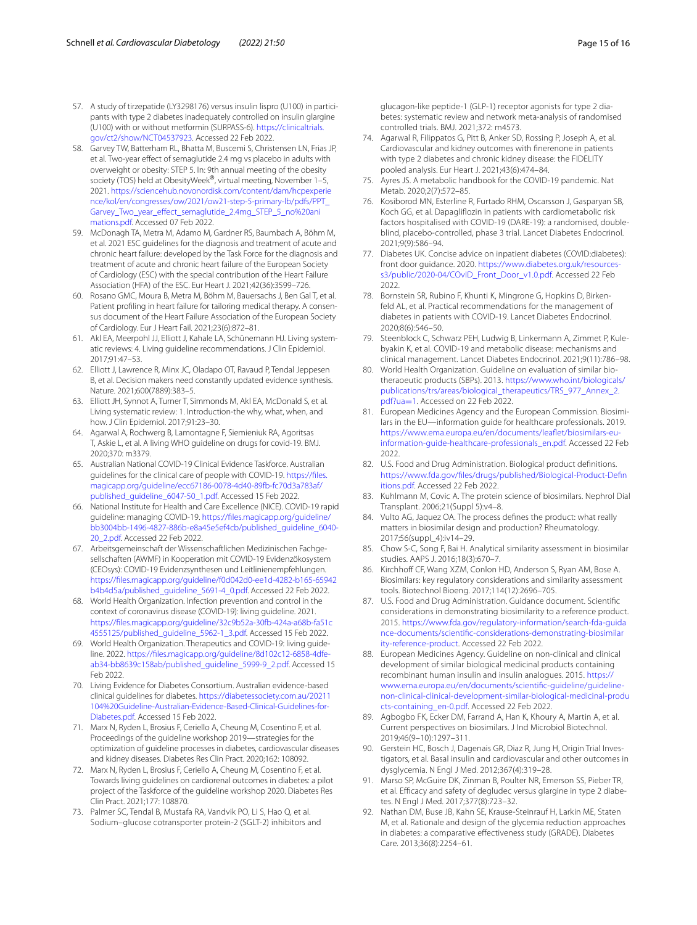- <span id="page-14-0"></span>57. A study of tirzepatide (LY3298176) versus insulin lispro (U100) in participants with type 2 diabetes inadequately controlled on insulin glargine (U100) with or without metformin (SURPASS-6). [https://clinicaltrials.](https://clinicaltrials.gov/ct2/show/NCT04537923) [gov/ct2/show/NCT04537923](https://clinicaltrials.gov/ct2/show/NCT04537923). Accessed 22 Feb 2022.
- <span id="page-14-1"></span>58. Garvey TW, Batterham RL, Bhatta M, Buscemi S, Christensen LN, Frias JP, et al. Two-year efect of semaglutide 2.4 mg vs placebo in adults with overweight or obesity: STEP 5. In: 9th annual meeting of the obesity society (TOS) held at ObesityWeek®, virtual meeting, November 1–5, 2021. [https://sciencehub.novonordisk.com/content/dam/hcpexperie](https://sciencehub.novonordisk.com/content/dam/hcpexperience/kol/en/congresses/ow/2021/ow21-step-5-primary-lb/pdfs/PPT_Garvey_Two_year_effect_semaglutide_2.4mg_STEP_5_no%20animations.pdf) [nce/kol/en/congresses/ow/2021/ow21-step-5-primary-lb/pdfs/PPT\\_](https://sciencehub.novonordisk.com/content/dam/hcpexperience/kol/en/congresses/ow/2021/ow21-step-5-primary-lb/pdfs/PPT_Garvey_Two_year_effect_semaglutide_2.4mg_STEP_5_no%20animations.pdf) [Garvey\\_Two\\_year\\_efect\\_semaglutide\\_2.4mg\\_STEP\\_5\\_no%20ani](https://sciencehub.novonordisk.com/content/dam/hcpexperience/kol/en/congresses/ow/2021/ow21-step-5-primary-lb/pdfs/PPT_Garvey_Two_year_effect_semaglutide_2.4mg_STEP_5_no%20animations.pdf) [mations.pdf.](https://sciencehub.novonordisk.com/content/dam/hcpexperience/kol/en/congresses/ow/2021/ow21-step-5-primary-lb/pdfs/PPT_Garvey_Two_year_effect_semaglutide_2.4mg_STEP_5_no%20animations.pdf) Accessed 07 Feb 2022.
- <span id="page-14-2"></span>59. McDonagh TA, Metra M, Adamo M, Gardner RS, Baumbach A, Böhm M, et al. 2021 ESC guidelines for the diagnosis and treatment of acute and chronic heart failure: developed by the Task Force for the diagnosis and treatment of acute and chronic heart failure of the European Society of Cardiology (ESC) with the special contribution of the Heart Failure Association (HFA) of the ESC. Eur Heart J. 2021;42(36):3599–726.
- <span id="page-14-3"></span>60. Rosano GMC, Moura B, Metra M, Böhm M, Bauersachs J, Ben Gal T, et al. Patient profiling in heart failure for tailoring medical therapy. A consensus document of the Heart Failure Association of the European Society of Cardiology. Eur J Heart Fail. 2021;23(6):872–81.
- <span id="page-14-4"></span>61. Akl EA, Meerpohl JJ, Elliott J, Kahale LA, Schünemann HJ. Living systematic reviews: 4. Living guideline recommendations. J Clin Epidemiol. 2017;91:47–53.
- <span id="page-14-5"></span>62. Elliott J, Lawrence R, Minx JC, Oladapo OT, Ravaud P, Tendal Jeppesen B, et al. Decision makers need constantly updated evidence synthesis. Nature. 2021;600(7889):383–5.
- <span id="page-14-6"></span>63. Elliott JH, Synnot A, Turner T, Simmonds M, Akl EA, McDonald S, et al. Living systematic review: 1. Introduction-the why, what, when, and how. J Clin Epidemiol. 2017;91:23–30.
- <span id="page-14-7"></span>64. Agarwal A, Rochwerg B, Lamontagne F, Siemieniuk RA, Agoritsas T, Askie L, et al. A living WHO guideline on drugs for covid-19. BMJ. 2020;370: m3379.
- 65. Australian National COVID-19 Clinical Evidence Taskforce. Australian guidelines for the clinical care of people with COVID-19. [https://fles.](https://files.magicapp.org/guideline/ecc67186-0078-4d40-89fb-fc70d3a783af/published_guideline_6047-50_1.pdf) [magicapp.org/guideline/ecc67186-0078-4d40-89fb-fc70d3a783af/](https://files.magicapp.org/guideline/ecc67186-0078-4d40-89fb-fc70d3a783af/published_guideline_6047-50_1.pdf) [published\\_guideline\\_6047-50\\_1.pdf.](https://files.magicapp.org/guideline/ecc67186-0078-4d40-89fb-fc70d3a783af/published_guideline_6047-50_1.pdf) Accessed 15 Feb 2022.
- 66. National Institute for Health and Care Excellence (NICE). COVID-19 rapid guideline: managing COVID-19. [https://fles.magicapp.org/guideline/](https://files.magicapp.org/guideline/bb3004bb-1496-4827-886b-e8a45e5ef4cb/published_guideline_6040-20_2.pdf) [bb3004bb-1496-4827-886b-e8a45e5ef4cb/published\\_guideline\\_6040-](https://files.magicapp.org/guideline/bb3004bb-1496-4827-886b-e8a45e5ef4cb/published_guideline_6040-20_2.pdf) [20\\_2.pdf](https://files.magicapp.org/guideline/bb3004bb-1496-4827-886b-e8a45e5ef4cb/published_guideline_6040-20_2.pdf). Accessed 22 Feb 2022.
- 67. Arbeitsgemeinschaft der Wissenschaftlichen Medizinischen Fachgesellschaften (AWMF) in Kooperation mit COVID-19 Evidenzökosystem (CEOsys): COVID-19 Evidenzsynthesen und Leitlinienempfehlungen. [https://fles.magicapp.org/guideline/f0d042d0-ee1d-4282-b165-65942](https://files.magicapp.org/guideline/f0d042d0-ee1d-4282-b165-65942b4b4d5a/published_guideline_5691-4_0.pdf) [b4b4d5a/published\\_guideline\\_5691-4\\_0.pdf](https://files.magicapp.org/guideline/f0d042d0-ee1d-4282-b165-65942b4b4d5a/published_guideline_5691-4_0.pdf). Accessed 22 Feb 2022.
- 68. World Health Organization. Infection prevention and control in the context of coronavirus disease (COVID-19): living guideline. 2021. [https://fles.magicapp.org/guideline/32c9b52a-30fb-424a-a68b-fa51c](https://files.magicapp.org/guideline/32c9b52a-30fb-424a-a68b-fa51c4555125/published_guideline_5962-1_3.pdf) [4555125/published\\_guideline\\_5962-1\\_3.pdf](https://files.magicapp.org/guideline/32c9b52a-30fb-424a-a68b-fa51c4555125/published_guideline_5962-1_3.pdf). Accessed 15 Feb 2022.
- <span id="page-14-8"></span>69. World Health Organization. Therapeutics and COVID-19: living guideline. 2022. [https://fles.magicapp.org/guideline/8d102c12-6858-4dfe](https://files.magicapp.org/guideline/8d102c12-6858-4dfe-ab34-bb8639c158ab/published_guideline_5999-9_2.pdf) [ab34-bb8639c158ab/published\\_guideline\\_5999-9\\_2.pdf.](https://files.magicapp.org/guideline/8d102c12-6858-4dfe-ab34-bb8639c158ab/published_guideline_5999-9_2.pdf) Accessed 15 Feb 2022.
- <span id="page-14-9"></span>70. Living Evidence for Diabetes Consortium. Australian evidence-based clinical guidelines for diabetes. [https://diabetessociety.com.au/20211](https://diabetessociety.com.au/20211104%20Guideline-Australian-Evidence-Based-Clinical-Guidelines-for-Diabetes.pdf) [104%20Guideline-Australian-Evidence-Based-Clinical-Guidelines-for-](https://diabetessociety.com.au/20211104%20Guideline-Australian-Evidence-Based-Clinical-Guidelines-for-Diabetes.pdf) [Diabetes.pdf.](https://diabetessociety.com.au/20211104%20Guideline-Australian-Evidence-Based-Clinical-Guidelines-for-Diabetes.pdf) Accessed 15 Feb 2022.
- <span id="page-14-10"></span>71. Marx N, Ryden L, Brosius F, Ceriello A, Cheung M, Cosentino F, et al. Proceedings of the guideline workshop 2019—strategies for the optimization of guideline processes in diabetes, cardiovascular diseases and kidney diseases. Diabetes Res Clin Pract. 2020;162: 108092.
- <span id="page-14-11"></span>72. Marx N, Ryden L, Brosius F, Ceriello A, Cheung M, Cosentino F, et al. Towards living guidelines on cardiorenal outcomes in diabetes: a pilot project of the Taskforce of the guideline workshop 2020. Diabetes Res Clin Pract. 2021;177: 108870.
- <span id="page-14-12"></span>73. Palmer SC, Tendal B, Mustafa RA, Vandvik PO, Li S, Hao Q, et al. Sodium–glucose cotransporter protein-2 (SGLT-2) inhibitors and

glucagon-like peptide-1 (GLP-1) receptor agonists for type 2 diabetes: systematic review and network meta-analysis of randomised controlled trials. BMJ. 2021;372: m4573.

- <span id="page-14-13"></span>74. Agarwal R, Filippatos G, Pitt B, Anker SD, Rossing P, Joseph A, et al. Cardiovascular and kidney outcomes with fnerenone in patients with type 2 diabetes and chronic kidney disease: the FIDELITY pooled analysis. Eur Heart J. 2021;43(6):474–84.
- <span id="page-14-14"></span>75. Ayres JS. A metabolic handbook for the COVID-19 pandemic. Nat Metab. 2020;2(7):572–85.
- <span id="page-14-15"></span>76. Kosiborod MN, Esterline R, Furtado RHM, Oscarsson J, Gasparyan SB, Koch GG, et al. Dapaglifozin in patients with cardiometabolic risk factors hospitalised with COVID-19 (DARE-19): a randomised, doubleblind, placebo-controlled, phase 3 trial. Lancet Diabetes Endocrinol. 2021;9(9):586–94.
- <span id="page-14-16"></span>77. Diabetes UK. Concise advice on inpatient diabetes (COVID:diabetes): front door guidance. 2020. [https://www.diabetes.org.uk/resources](https://www.diabetes.org.uk/resources-s3/public/2020-04/COvID_Front_Door_v1.0.pdf) [s3/public/2020-04/COvID\\_Front\\_Door\\_v1.0.pdf.](https://www.diabetes.org.uk/resources-s3/public/2020-04/COvID_Front_Door_v1.0.pdf) Accessed 22 Feb 2022.
- <span id="page-14-17"></span>78. Bornstein SR, Rubino F, Khunti K, Mingrone G, Hopkins D, Birkenfeld AL, et al. Practical recommendations for the management of diabetes in patients with COVID-19. Lancet Diabetes Endocrinol. 2020;8(6):546–50.
- <span id="page-14-18"></span>79. Steenblock C, Schwarz PEH, Ludwig B, Linkermann A, Zimmet P, Kulebyakin K, et al. COVID-19 and metabolic disease: mechanisms and clinical management. Lancet Diabetes Endocrinol. 2021;9(11):786–98.
- <span id="page-14-19"></span>80. World Health Organization. Guideline on evaluation of similar biotheraoeutic products (SBPs). 2013. [https://www.who.int/biologicals/](https://www.who.int/biologicals/publications/trs/areas/biological_therapeutics/TRS_977_Annex_2.pdf?ua=1) [publications/trs/areas/biological\\_therapeutics/TRS\\_977\\_Annex\\_2.](https://www.who.int/biologicals/publications/trs/areas/biological_therapeutics/TRS_977_Annex_2.pdf?ua=1) [pdf?ua](https://www.who.int/biologicals/publications/trs/areas/biological_therapeutics/TRS_977_Annex_2.pdf?ua=1)=1. Accessed on 22 Feb 2022.
- 81. European Medicines Agency and the European Commission. Biosimilars in the EU—information guide for healthcare professionals. 2019. [https://www.ema.europa.eu/en/documents/leafet/biosimilars-eu](https://www.ema.europa.eu/en/documents/leaflet/biosimilars-eu-information-guide-healthcare-professionals_en.pdf) [information-guide-healthcare-professionals\\_en.pdf](https://www.ema.europa.eu/en/documents/leaflet/biosimilars-eu-information-guide-healthcare-professionals_en.pdf). Accessed 22 Feb 2022.
- <span id="page-14-20"></span>82. U.S. Food and Drug Administration. Biological product defnitions. [https://www.fda.gov/fles/drugs/published/Biological-Product-Defn](https://www.fda.gov/files/drugs/published/Biological-Product-Definitions.pdf) [itions.pdf.](https://www.fda.gov/files/drugs/published/Biological-Product-Definitions.pdf) Accessed 22 Feb 2022.
- <span id="page-14-21"></span>83. Kuhlmann M, Covic A. The protein science of biosimilars. Nephrol Dial Transplant. 2006;21(Suppl 5):v4–8.
- <span id="page-14-22"></span>84. Vulto AG, Jaquez OA. The process defnes the product: what really matters in biosimilar design and production? Rheumatology. 2017;56(suppl\_4):iv14–29.
- <span id="page-14-23"></span>85. Chow S-C, Song F, Bai H. Analytical similarity assessment in biosimilar studies. AAPS J. 2016;18(3):670–7.
- <span id="page-14-24"></span>86. Kirchhoff CF, Wang XZM, Conlon HD, Anderson S, Ryan AM, Bose A. Biosimilars: key regulatory considerations and similarity assessment tools. Biotechnol Bioeng. 2017;114(12):2696–705.
- <span id="page-14-25"></span>87. U.S. Food and Drug Administration. Guidance document. Scientifc considerations in demonstrating biosimilarity to a reference product. 2015. [https://www.fda.gov/regulatory-information/search-fda-guida](https://www.fda.gov/regulatory-information/search-fda-guidance-documents/scientific-considerations-demonstrating-biosimilarity-reference-product) [nce-documents/scientifc-considerations-demonstrating-biosimilar](https://www.fda.gov/regulatory-information/search-fda-guidance-documents/scientific-considerations-demonstrating-biosimilarity-reference-product) [ity-reference-product](https://www.fda.gov/regulatory-information/search-fda-guidance-documents/scientific-considerations-demonstrating-biosimilarity-reference-product). Accessed 22 Feb 2022.
- <span id="page-14-26"></span>88. European Medicines Agency. Guideline on non-clinical and clinical development of similar biological medicinal products containing recombinant human insulin and insulin analogues. 2015. [https://](https://www.ema.europa.eu/en/documents/scientific-guideline/guideline-non-clinical-clinical-development-similar-biological-medicinal-products-containing_en-0.pdf) [www.ema.europa.eu/en/documents/scientifc-guideline/guideline](https://www.ema.europa.eu/en/documents/scientific-guideline/guideline-non-clinical-clinical-development-similar-biological-medicinal-products-containing_en-0.pdf) [non-clinical-clinical-development-similar-biological-medicinal-produ](https://www.ema.europa.eu/en/documents/scientific-guideline/guideline-non-clinical-clinical-development-similar-biological-medicinal-products-containing_en-0.pdf) [cts-containing\\_en-0.pdf](https://www.ema.europa.eu/en/documents/scientific-guideline/guideline-non-clinical-clinical-development-similar-biological-medicinal-products-containing_en-0.pdf). Accessed 22 Feb 2022.
- <span id="page-14-27"></span>89. Agbogbo FK, Ecker DM, Farrand A, Han K, Khoury A, Martin A, et al. Current perspectives on biosimilars. J Ind Microbiol Biotechnol. 2019;46(9–10):1297–311.
- <span id="page-14-28"></span>90. Gerstein HC, Bosch J, Dagenais GR, Diaz R, Jung H, Origin Trial Investigators, et al. Basal insulin and cardiovascular and other outcomes in dysglycemia. N Engl J Med. 2012;367(4):319–28.
- <span id="page-14-29"></span>91. Marso SP, McGuire DK, Zinman B, Poulter NR, Emerson SS, Pieber TR, et al. Efficacy and safety of degludec versus glargine in type 2 diabetes. N Engl J Med. 2017;377(8):723–32.
- <span id="page-14-30"></span>92. Nathan DM, Buse JB, Kahn SE, Krause-Steinrauf H, Larkin ME, Staten M, et al. Rationale and design of the glycemia reduction approaches in diabetes: a comparative efectiveness study (GRADE). Diabetes Care. 2013;36(8):2254–61.